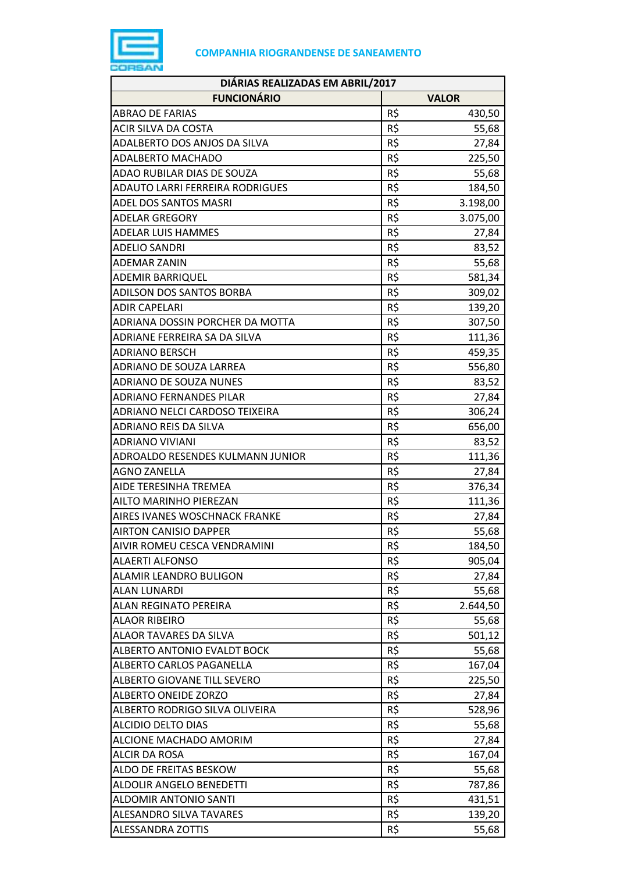

| DIÁRIAS REALIZADAS EM ABRIL/2017   |     |              |  |
|------------------------------------|-----|--------------|--|
| <b>FUNCIONÁRIO</b>                 |     | <b>VALOR</b> |  |
| <b>ABRAO DE FARIAS</b>             | R\$ | 430,50       |  |
| ACIR SILVA DA COSTA                | R\$ | 55,68        |  |
| ADALBERTO DOS ANJOS DA SILVA       | R\$ | 27,84        |  |
| <b>ADALBERTO MACHADO</b>           | R\$ | 225,50       |  |
| ADAO RUBILAR DIAS DE SOUZA         | R\$ | 55,68        |  |
| ADAUTO LARRI FERREIRA RODRIGUES    | R\$ | 184,50       |  |
| ADEL DOS SANTOS MASRI              | R\$ | 3.198,00     |  |
| <b>ADELAR GREGORY</b>              | R\$ | 3.075,00     |  |
| <b>ADELAR LUIS HAMMES</b>          | R\$ | 27,84        |  |
| <b>ADELIO SANDRI</b>               | R\$ | 83,52        |  |
| <b>ADEMAR ZANIN</b>                | R\$ | 55,68        |  |
| <b>ADEMIR BARRIQUEL</b>            | R\$ | 581,34       |  |
| ADILSON DOS SANTOS BORBA           | R\$ | 309,02       |  |
| <b>ADIR CAPELARI</b>               | R\$ | 139,20       |  |
| ADRIANA DOSSIN PORCHER DA MOTTA    | R\$ | 307,50       |  |
| ADRIANE FERREIRA SA DA SILVA       | R\$ | 111,36       |  |
| <b>ADRIANO BERSCH</b>              | R\$ | 459,35       |  |
| ADRIANO DE SOUZA LARREA            | R\$ | 556,80       |  |
| <b>ADRIANO DE SOUZA NUNES</b>      | R\$ | 83,52        |  |
| ADRIANO FERNANDES PILAR            | R\$ | 27,84        |  |
| ADRIANO NELCI CARDOSO TEIXEIRA     | R\$ | 306,24       |  |
| ADRIANO REIS DA SILVA              | R\$ | 656,00       |  |
| <b>ADRIANO VIVIANI</b>             | R\$ | 83,52        |  |
| ADROALDO RESENDES KULMANN JUNIOR   | R\$ | 111,36       |  |
| <b>AGNO ZANELLA</b>                | R\$ | 27,84        |  |
| AIDE TERESINHA TREMEA              | R\$ | 376,34       |  |
| AILTO MARINHO PIEREZAN             | R\$ | 111,36       |  |
| AIRES IVANES WOSCHNACK FRANKE      | R\$ | 27,84        |  |
| <b>AIRTON CANISIO DAPPER</b>       | R\$ | 55,68        |  |
| AIVIR ROMEU CESCA VENDRAMINI       | R\$ | 184,50       |  |
| <b>ALAERTI ALFONSO</b>             | R\$ | 905,04       |  |
| <b>ALAMIR LEANDRO BULIGON</b>      | R\$ | 27,84        |  |
| <b>ALAN LUNARDI</b>                | R\$ | 55,68        |  |
| ALAN REGINATO PEREIRA              | R\$ | 2.644,50     |  |
| <b>ALAOR RIBEIRO</b>               | R\$ | 55,68        |  |
| ALAOR TAVARES DA SILVA             | R\$ | 501,12       |  |
| <b>ALBERTO ANTONIO EVALDT BOCK</b> | R\$ | 55,68        |  |
| ALBERTO CARLOS PAGANELLA           | R\$ | 167,04       |  |
| ALBERTO GIOVANE TILL SEVERO        | R\$ | 225,50       |  |
| <b>ALBERTO ONEIDE ZORZO</b>        | R\$ | 27,84        |  |
| ALBERTO RODRIGO SILVA OLIVEIRA     | R\$ | 528,96       |  |
| <b>ALCIDIO DELTO DIAS</b>          | R\$ | 55,68        |  |
| ALCIONE MACHADO AMORIM             | R\$ | 27,84        |  |
| <b>ALCIR DA ROSA</b>               | R\$ | 167,04       |  |
| ALDO DE FREITAS BESKOW             | R\$ | 55,68        |  |
| ALDOLIR ANGELO BENEDETTI           | R\$ | 787,86       |  |
| <b>ALDOMIR ANTONIO SANTI</b>       | R\$ | 431,51       |  |
| <b>ALESANDRO SILVA TAVARES</b>     | R\$ | 139,20       |  |
| <b>ALESSANDRA ZOTTIS</b>           | R\$ | 55,68        |  |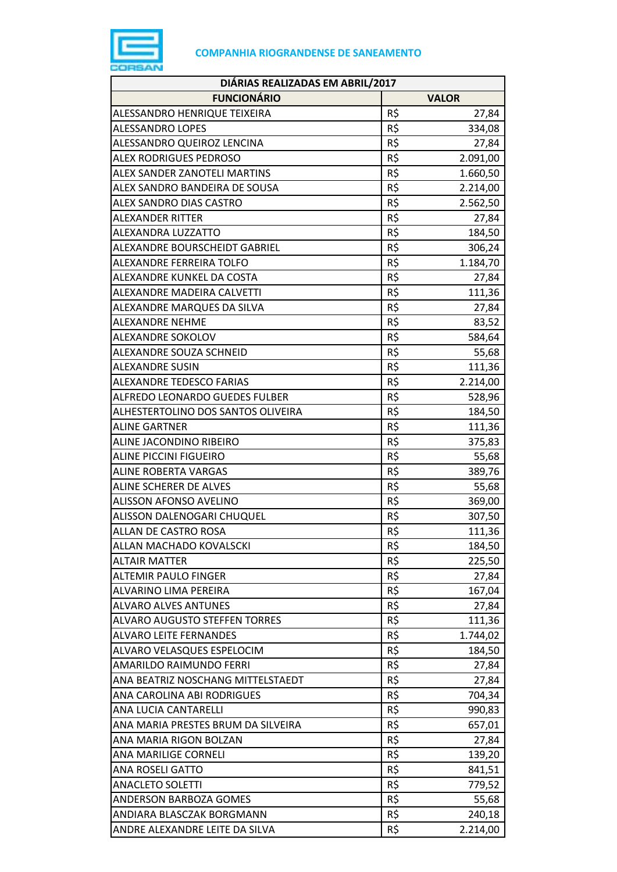

| DIÁRIAS REALIZADAS EM ABRIL/2017     |            |                 |  |
|--------------------------------------|------------|-----------------|--|
| <b>FUNCIONÁRIO</b>                   |            | <b>VALOR</b>    |  |
| ALESSANDRO HENRIQUE TEIXEIRA         | R\$        | 27,84           |  |
| ALESSANDRO LOPES                     | R\$        | 334,08          |  |
| ALESSANDRO QUEIROZ LENCINA           | R\$        | 27,84           |  |
| ALEX RODRIGUES PEDROSO               | R\$        | 2.091,00        |  |
| ALEX SANDER ZANOTELI MARTINS         | R\$        | 1.660,50        |  |
| ALEX SANDRO BANDEIRA DE SOUSA        | R\$        | 2.214,00        |  |
| ALEX SANDRO DIAS CASTRO              | R\$        | 2.562,50        |  |
| <b>ALEXANDER RITTER</b>              | R\$        | 27,84           |  |
| ALEXANDRA LUZZATTO                   | R\$        | 184,50          |  |
| ALEXANDRE BOURSCHEIDT GABRIEL        | R\$        | 306,24          |  |
| ALEXANDRE FERREIRA TOLFO             | R\$        | 1.184,70        |  |
| ALEXANDRE KUNKEL DA COSTA            | R\$        | 27,84           |  |
| ALEXANDRE MADEIRA CALVETTI           | R\$        | 111,36          |  |
| ALEXANDRE MARQUES DA SILVA           | R\$        | 27,84           |  |
| <b>ALEXANDRE NEHME</b>               | R\$        | 83,52           |  |
| ALEXANDRE SOKOLOV                    | R\$        | 584,64          |  |
| ALEXANDRE SOUZA SCHNEID              | R\$        | 55,68           |  |
| <b>ALEXANDRE SUSIN</b>               | R\$        | 111,36          |  |
| ALEXANDRE TEDESCO FARIAS             | R\$        | 2.214,00        |  |
| ALFREDO LEONARDO GUEDES FULBER       | R\$        | 528,96          |  |
| ALHESTERTOLINO DOS SANTOS OLIVEIRA   | R\$        | 184,50          |  |
| <b>ALINE GARTNER</b>                 | R\$        | 111,36          |  |
| ALINE JACONDINO RIBEIRO              | R\$        | 375,83          |  |
| <b>ALINE PICCINI FIGUEIRO</b>        | R\$        | 55,68           |  |
| ALINE ROBERTA VARGAS                 | R\$        | 389,76          |  |
| ALINE SCHERER DE ALVES               | R\$        | 55,68           |  |
| <b>ALISSON AFONSO AVELINO</b>        | R\$        | 369,00          |  |
| ALISSON DALENOGARI CHUQUEL           | R\$        | 307,50          |  |
| <b>ALLAN DE CASTRO ROSA</b>          | R\$        | 111,36          |  |
| ALLAN MACHADO KOVALSCKI              | R\$        | 184,50          |  |
| ALTAIR MATTER                        | R\$        | 225,50          |  |
| <b>ALTEMIR PAULO FINGER</b>          | R\$        | 27,84           |  |
| ALVARINO LIMA PEREIRA                | R\$        | 167,04          |  |
| <b>ALVARO ALVES ANTUNES</b>          | R\$        |                 |  |
| <b>ALVARO AUGUSTO STEFFEN TORRES</b> | R\$        | 27,84<br>111,36 |  |
| <b>ALVARO LEITE FERNANDES</b>        | R\$        | 1.744,02        |  |
| ALVARO VELASQUES ESPELOCIM           | R\$        |                 |  |
| AMARILDO RAIMUNDO FERRI              | R\$        | 184,50<br>27,84 |  |
|                                      |            |                 |  |
| ANA BEATRIZ NOSCHANG MITTELSTAEDT    | R\$<br>R\$ | 27,84           |  |
| ANA CAROLINA ABI RODRIGUES           |            | 704,34          |  |
| ANA LUCIA CANTARELLI                 | R\$        | 990,83          |  |
| ANA MARIA PRESTES BRUM DA SILVEIRA   | R\$<br>R\$ | 657,01          |  |
| ANA MARIA RIGON BOLZAN               |            | 27,84           |  |
| ANA MARILIGE CORNELI                 | R\$        | 139,20          |  |
| <b>ANA ROSELI GATTO</b>              | R\$        | 841,51          |  |
| <b>ANACLETO SOLETTI</b>              | R\$        | 779,52          |  |
| ANDERSON BARBOZA GOMES               | R\$        | 55,68           |  |
| ANDIARA BLASCZAK BORGMANN            | R\$        | 240,18          |  |
| ANDRE ALEXANDRE LEITE DA SILVA       | R\$        | 2.214,00        |  |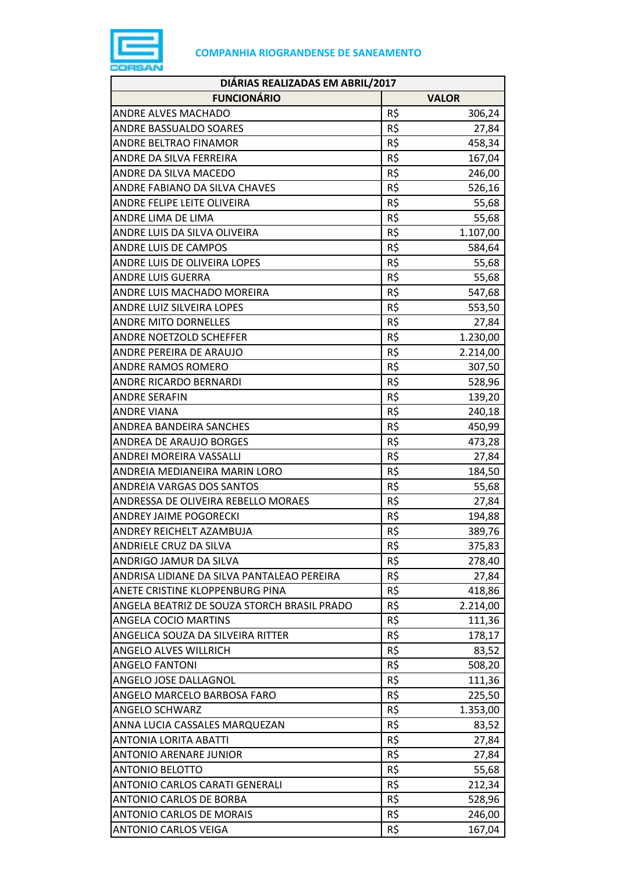

| DIÁRIAS REALIZADAS EM ABRIL/2017            |     |              |
|---------------------------------------------|-----|--------------|
| <b>FUNCIONÁRIO</b>                          |     | <b>VALOR</b> |
| <b>ANDRE ALVES MACHADO</b>                  | R\$ | 306,24       |
| <b>ANDRE BASSUALDO SOARES</b>               | R\$ | 27,84        |
| ANDRE BELTRAO FINAMOR                       | R\$ | 458,34       |
| ANDRE DA SILVA FERREIRA                     | R\$ | 167,04       |
| ANDRE DA SILVA MACEDO                       | R\$ | 246,00       |
| ANDRE FABIANO DA SILVA CHAVES               | R\$ | 526,16       |
| <b>ANDRE FELIPE LEITE OLIVEIRA</b>          | R\$ | 55,68        |
| ANDRE LIMA DE LIMA                          | R\$ | 55,68        |
| ANDRE LUIS DA SILVA OLIVEIRA                | R\$ | 1.107,00     |
| <b>ANDRE LUIS DE CAMPOS</b>                 | R\$ | 584,64       |
| ANDRE LUIS DE OLIVEIRA LOPES                | R\$ | 55,68        |
| <b>ANDRE LUIS GUERRA</b>                    | R\$ | 55,68        |
| ANDRE LUIS MACHADO MOREIRA                  | R\$ | 547,68       |
| ANDRE LUIZ SILVEIRA LOPES                   | R\$ | 553,50       |
| <b>ANDRE MITO DORNELLES</b>                 | R\$ | 27,84        |
| ANDRE NOETZOLD SCHEFFER                     | R\$ | 1.230,00     |
| ANDRE PEREIRA DE ARAUJO                     | R\$ | 2.214,00     |
| ANDRE RAMOS ROMERO                          | R\$ | 307,50       |
| ANDRE RICARDO BERNARDI                      | R\$ | 528,96       |
| <b>ANDRE SERAFIN</b>                        | R\$ | 139,20       |
| <b>ANDRE VIANA</b>                          | R\$ | 240,18       |
| ANDREA BANDEIRA SANCHES                     | R\$ | 450,99       |
| ANDREA DE ARAUJO BORGES                     | R\$ | 473,28       |
| ANDREI MOREIRA VASSALLI                     | R\$ | 27,84        |
| ANDREIA MEDIANEIRA MARIN LORO               | R\$ | 184,50       |
| ANDREIA VARGAS DOS SANTOS                   | R\$ | 55,68        |
| ANDRESSA DE OLIVEIRA REBELLO MORAES         | R\$ | 27,84        |
| <b>ANDREY JAIME POGORECKI</b>               | R\$ | 194,88       |
| ANDREY REICHELT AZAMBUJA                    | R\$ | 389,76       |
| ANDRIELE CRUZ DA SILVA                      | R\$ | 375,83       |
| ANDRIGO JAMUR DA SILVA                      | R\$ | 278,40       |
| ANDRISA LIDIANE DA SILVA PANTALEAO PEREIRA  | R\$ | 27,84        |
| ANETE CRISTINE KLOPPENBURG PINA             | R\$ | 418,86       |
| ANGELA BEATRIZ DE SOUZA STORCH BRASIL PRADO | R\$ | 2.214,00     |
| ANGELA COCIO MARTINS                        | R\$ | 111,36       |
| ANGELICA SOUZA DA SILVEIRA RITTER           | R\$ | 178,17       |
| <b>ANGELO ALVES WILLRICH</b>                | R\$ | 83,52        |
| <b>ANGELO FANTONI</b>                       | R\$ | 508,20       |
| ANGELO JOSE DALLAGNOL                       | R\$ | 111,36       |
| ANGELO MARCELO BARBOSA FARO                 | R\$ | 225,50       |
| <b>ANGELO SCHWARZ</b>                       | R\$ | 1.353,00     |
| ANNA LUCIA CASSALES MARQUEZAN               | R\$ | 83,52        |
| ANTONIA LORITA ABATTI                       | R\$ | 27,84        |
| <b>ANTONIO ARENARE JUNIOR</b>               | R\$ | 27,84        |
| <b>ANTONIO BELOTTO</b>                      | R\$ | 55,68        |
| ANTONIO CARLOS CARATI GENERALI              | R\$ | 212,34       |
| ANTONIO CARLOS DE BORBA                     | R\$ | 528,96       |
| <b>ANTONIO CARLOS DE MORAIS</b>             | R\$ | 246,00       |
| <b>ANTONIO CARLOS VEIGA</b>                 | R\$ | 167,04       |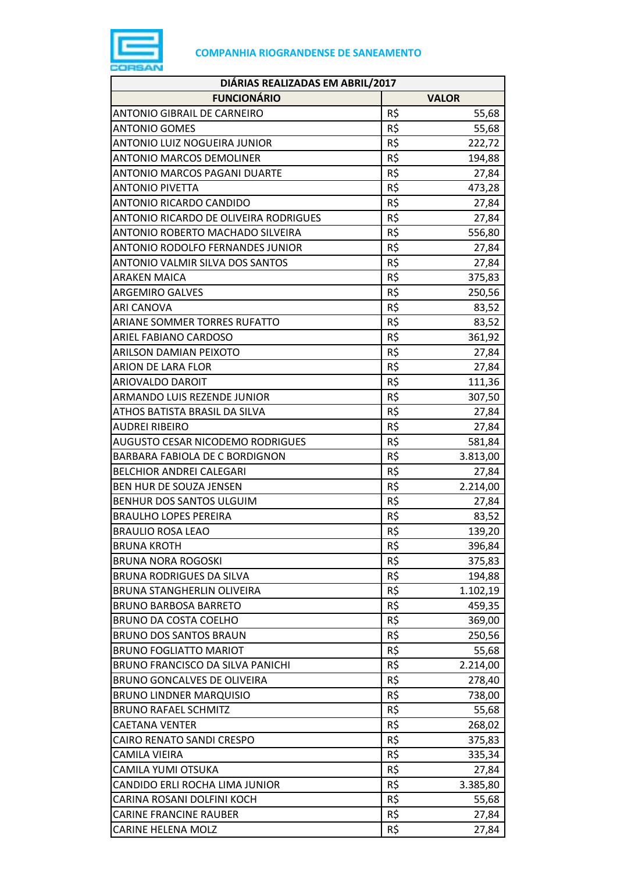

| DIÁRIAS REALIZADAS EM ABRIL/2017      |     |              |  |
|---------------------------------------|-----|--------------|--|
| <b>FUNCIONÁRIO</b>                    |     | <b>VALOR</b> |  |
| <b>ANTONIO GIBRAIL DE CARNEIRO</b>    | R\$ | 55,68        |  |
| <b>ANTONIO GOMES</b>                  | R\$ | 55,68        |  |
| ANTONIO LUIZ NOGUEIRA JUNIOR          | R\$ | 222,72       |  |
| <b>ANTONIO MARCOS DEMOLINER</b>       | R\$ | 194,88       |  |
| ANTONIO MARCOS PAGANI DUARTE          | R\$ | 27,84        |  |
| <b>ANTONIO PIVETTA</b>                | R\$ | 473,28       |  |
| ANTONIO RICARDO CANDIDO               | R\$ | 27,84        |  |
| ANTONIO RICARDO DE OLIVEIRA RODRIGUES | R\$ | 27,84        |  |
| ANTONIO ROBERTO MACHADO SILVEIRA      | R\$ | 556,80       |  |
| ANTONIO RODOLFO FERNANDES JUNIOR      | R\$ | 27,84        |  |
| ANTONIO VALMIR SILVA DOS SANTOS       | R\$ | 27,84        |  |
| <b>ARAKEN MAICA</b>                   | R\$ | 375,83       |  |
| <b>ARGEMIRO GALVES</b>                | R\$ | 250,56       |  |
| <b>ARI CANOVA</b>                     | R\$ | 83,52        |  |
| ARIANE SOMMER TORRES RUFATTO          | R\$ | 83,52        |  |
| <b>ARIEL FABIANO CARDOSO</b>          | R\$ | 361,92       |  |
| <b>ARILSON DAMIAN PEIXOTO</b>         | R\$ | 27,84        |  |
| <b>ARION DE LARA FLOR</b>             | R\$ | 27,84        |  |
| ARIOVALDO DAROIT                      | R\$ | 111,36       |  |
| ARMANDO LUIS REZENDE JUNIOR           | R\$ | 307,50       |  |
| ATHOS BATISTA BRASIL DA SILVA         | R\$ | 27,84        |  |
| <b>AUDREI RIBEIRO</b>                 | R\$ | 27,84        |  |
| AUGUSTO CESAR NICODEMO RODRIGUES      | R\$ | 581,84       |  |
| BARBARA FABIOLA DE C BORDIGNON        | R\$ | 3.813,00     |  |
| <b>BELCHIOR ANDREI CALEGARI</b>       | R\$ | 27,84        |  |
| BEN HUR DE SOUZA JENSEN               | R\$ | 2.214,00     |  |
| BENHUR DOS SANTOS ULGUIM              | R\$ | 27,84        |  |
| <b>BRAULHO LOPES PEREIRA</b>          | R\$ | 83,52        |  |
| <b>BRAULIO ROSA LEAO</b>              | R\$ | 139,20       |  |
| <b>BRUNA KROTH</b>                    | R\$ | 396,84       |  |
| <b>BRUNA NORA ROGOSKI</b>             | R\$ | 375,83       |  |
| <b>BRUNA RODRIGUES DA SILVA</b>       | R\$ | 194,88       |  |
| <b>BRUNA STANGHERLIN OLIVEIRA</b>     | R\$ | 1.102,19     |  |
| <b>BRUNO BARBOSA BARRETO</b>          | R\$ | 459,35       |  |
| <b>BRUNO DA COSTA COELHO</b>          | R\$ | 369,00       |  |
| <b>BRUNO DOS SANTOS BRAUN</b>         | R\$ | 250,56       |  |
| <b>BRUNO FOGLIATTO MARIOT</b>         | R\$ | 55,68        |  |
| BRUNO FRANCISCO DA SILVA PANICHI      | R\$ | 2.214,00     |  |
| BRUNO GONCALVES DE OLIVEIRA           | R\$ | 278,40       |  |
| <b>BRUNO LINDNER MARQUISIO</b>        | R\$ | 738,00       |  |
| <b>BRUNO RAFAEL SCHMITZ</b>           | R\$ | 55,68        |  |
| <b>CAETANA VENTER</b>                 | R\$ | 268,02       |  |
| <b>CAIRO RENATO SANDI CRESPO</b>      | R\$ | 375,83       |  |
| CAMILA VIEIRA                         | R\$ | 335,34       |  |
| CAMILA YUMI OTSUKA                    | R\$ | 27,84        |  |
| CANDIDO ERLI ROCHA LIMA JUNIOR        | R\$ | 3.385,80     |  |
| CARINA ROSANI DOLFINI KOCH            | R\$ | 55,68        |  |
| <b>CARINE FRANCINE RAUBER</b>         | R\$ | 27,84        |  |
| <b>CARINE HELENA MOLZ</b>             | R\$ | 27,84        |  |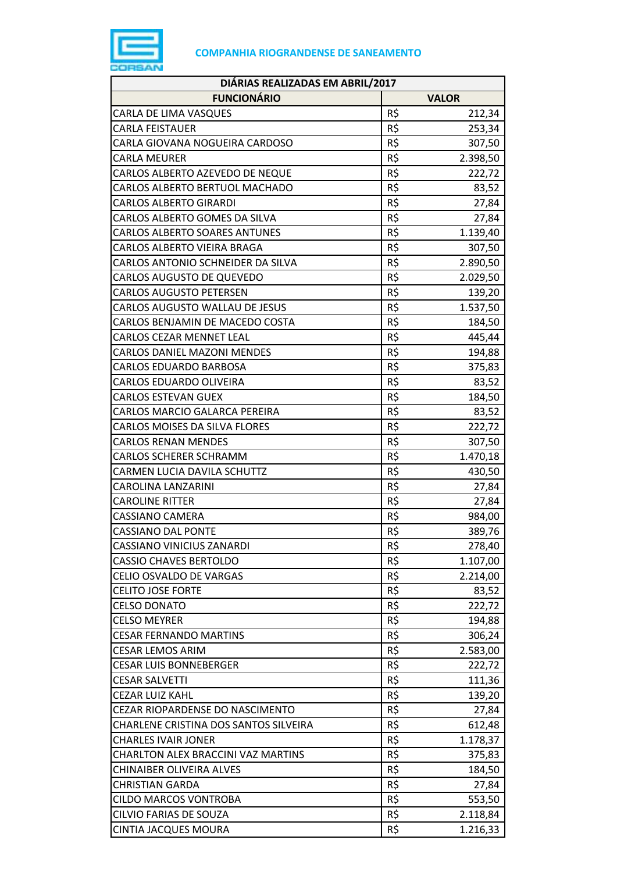

| DIÁRIAS REALIZADAS EM ABRIL/2017      |     |              |
|---------------------------------------|-----|--------------|
| <b>FUNCIONÁRIO</b>                    |     | <b>VALOR</b> |
| CARLA DE LIMA VASQUES                 | R\$ | 212,34       |
| <b>CARLA FEISTAUER</b>                | R\$ | 253,34       |
| CARLA GIOVANA NOGUEIRA CARDOSO        | R\$ | 307,50       |
| <b>CARLA MEURER</b>                   | R\$ | 2.398,50     |
| CARLOS ALBERTO AZEVEDO DE NEQUE       | R\$ | 222,72       |
| CARLOS ALBERTO BERTUOL MACHADO        | R\$ | 83,52        |
| <b>CARLOS ALBERTO GIRARDI</b>         | R\$ | 27,84        |
| CARLOS ALBERTO GOMES DA SILVA         | R\$ | 27,84        |
| <b>CARLOS ALBERTO SOARES ANTUNES</b>  | R\$ | 1.139,40     |
| CARLOS ALBERTO VIEIRA BRAGA           | R\$ | 307,50       |
| CARLOS ANTONIO SCHNEIDER DA SILVA     | R\$ | 2.890,50     |
| <b>CARLOS AUGUSTO DE QUEVEDO</b>      | R\$ | 2.029,50     |
| <b>CARLOS AUGUSTO PETERSEN</b>        | R\$ | 139,20       |
| CARLOS AUGUSTO WALLAU DE JESUS        | R\$ | 1.537,50     |
| CARLOS BENJAMIN DE MACEDO COSTA       | R\$ | 184,50       |
| <b>CARLOS CEZAR MENNET LEAL</b>       | R\$ | 445,44       |
| <b>CARLOS DANIEL MAZONI MENDES</b>    | R\$ | 194,88       |
| <b>CARLOS EDUARDO BARBOSA</b>         | R\$ | 375,83       |
| CARLOS EDUARDO OLIVEIRA               | R\$ | 83,52        |
| <b>CARLOS ESTEVAN GUEX</b>            | R\$ | 184,50       |
| CARLOS MARCIO GALARCA PEREIRA         | R\$ | 83,52        |
| <b>CARLOS MOISES DA SILVA FLORES</b>  | R\$ | 222,72       |
| <b>CARLOS RENAN MENDES</b>            | R\$ | 307,50       |
| <b>CARLOS SCHERER SCHRAMM</b>         | R\$ | 1.470,18     |
| CARMEN LUCIA DAVILA SCHUTTZ           | R\$ | 430,50       |
| CAROLINA LANZARINI                    | R\$ | 27,84        |
| <b>CAROLINE RITTER</b>                | R\$ | 27,84        |
| <b>CASSIANO CAMERA</b>                | R\$ | 984,00       |
| <b>CASSIANO DAL PONTE</b>             | R\$ | 389,76       |
| CASSIANO VINICIUS ZANARDI             | R\$ | 278,40       |
| <b>CASSIO CHAVES BERTOLDO</b>         | R\$ | 1.107,00     |
| CELIO OSVALDO DE VARGAS               | R\$ | 2.214,00     |
| <b>CELITO JOSE FORTE</b>              | R\$ | 83,52        |
| <b>CELSO DONATO</b>                   | R\$ | 222,72       |
| <b>CELSO MEYRER</b>                   | R\$ | 194,88       |
| <b>CESAR FERNANDO MARTINS</b>         | R\$ | 306,24       |
| <b>CESAR LEMOS ARIM</b>               | R\$ | 2.583,00     |
| <b>CESAR LUIS BONNEBERGER</b>         | R\$ | 222,72       |
| <b>CESAR SALVETTI</b>                 | R\$ | 111,36       |
| <b>CEZAR LUIZ KAHL</b>                | R\$ | 139,20       |
| CEZAR RIOPARDENSE DO NASCIMENTO       | R\$ | 27,84        |
| CHARLENE CRISTINA DOS SANTOS SILVEIRA | R\$ | 612,48       |
| <b>CHARLES IVAIR JONER</b>            | R\$ | 1.178,37     |
| CHARLTON ALEX BRACCINI VAZ MARTINS    | R\$ | 375,83       |
| <b>CHINAIBER OLIVEIRA ALVES</b>       | R\$ | 184,50       |
| <b>CHRISTIAN GARDA</b>                | R\$ | 27,84        |
| <b>CILDO MARCOS VONTROBA</b>          | R\$ | 553,50       |
| CILVIO FARIAS DE SOUZA                | R\$ | 2.118,84     |
| <b>CINTIA JACQUES MOURA</b>           | R\$ | 1.216,33     |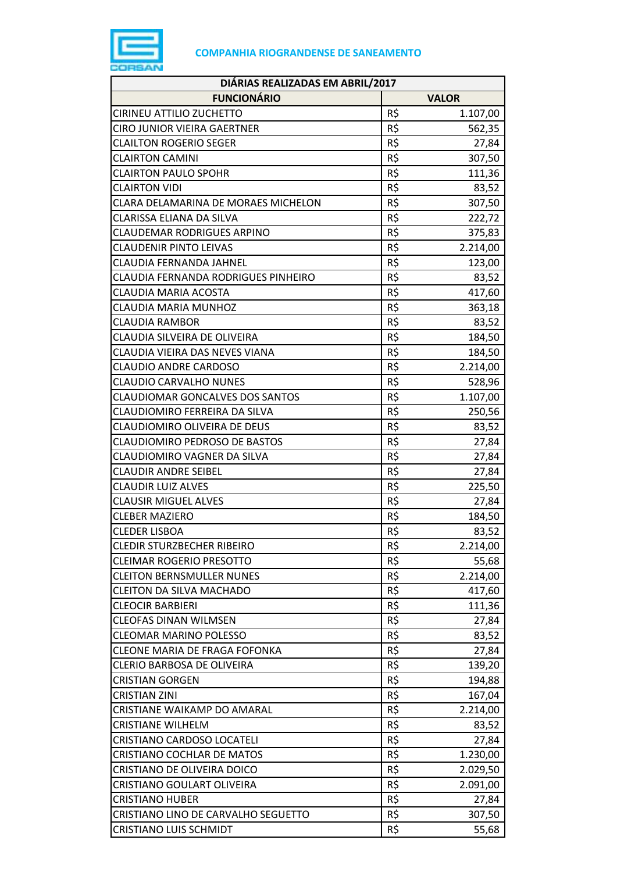

| DIÁRIAS REALIZADAS EM ABRIL/2017       |     |              |
|----------------------------------------|-----|--------------|
| <b>FUNCIONÁRIO</b>                     |     | <b>VALOR</b> |
| CIRINEU ATTILIO ZUCHETTO               | R\$ | 1.107,00     |
| CIRO JUNIOR VIEIRA GAERTNER            | R\$ | 562,35       |
| <b>CLAILTON ROGERIO SEGER</b>          | R\$ | 27,84        |
| <b>CLAIRTON CAMINI</b>                 | R\$ | 307,50       |
| <b>CLAIRTON PAULO SPOHR</b>            | R\$ | 111,36       |
| <b>CLAIRTON VIDI</b>                   | R\$ | 83,52        |
| CLARA DELAMARINA DE MORAES MICHELON    | R\$ | 307,50       |
| CLARISSA ELIANA DA SILVA               | R\$ | 222,72       |
| <b>CLAUDEMAR RODRIGUES ARPINO</b>      | R\$ | 375,83       |
| <b>CLAUDENIR PINTO LEIVAS</b>          | R\$ | 2.214,00     |
| CLAUDIA FERNANDA JAHNEL                | R\$ | 123,00       |
| CLAUDIA FERNANDA RODRIGUES PINHEIRO    | R\$ | 83,52        |
| CLAUDIA MARIA ACOSTA                   | R\$ | 417,60       |
| CLAUDIA MARIA MUNHOZ                   | R\$ | 363,18       |
| <b>CLAUDIA RAMBOR</b>                  | R\$ | 83,52        |
| CLAUDIA SILVEIRA DE OLIVEIRA           | R\$ | 184,50       |
| CLAUDIA VIEIRA DAS NEVES VIANA         | R\$ | 184,50       |
| <b>CLAUDIO ANDRE CARDOSO</b>           | R\$ | 2.214,00     |
| <b>CLAUDIO CARVALHO NUNES</b>          | R\$ | 528,96       |
| <b>CLAUDIOMAR GONCALVES DOS SANTOS</b> | R\$ | 1.107,00     |
| CLAUDIOMIRO FERREIRA DA SILVA          | R\$ | 250,56       |
| CLAUDIOMIRO OLIVEIRA DE DEUS           | R\$ | 83,52        |
| CLAUDIOMIRO PEDROSO DE BASTOS          | R\$ | 27,84        |
| CLAUDIOMIRO VAGNER DA SILVA            | R\$ | 27,84        |
| <b>CLAUDIR ANDRE SEIBEL</b>            | R\$ | 27,84        |
| <b>CLAUDIR LUIZ ALVES</b>              | R\$ | 225,50       |
| <b>CLAUSIR MIGUEL ALVES</b>            | R\$ | 27,84        |
| <b>CLEBER MAZIERO</b>                  | R\$ | 184,50       |
| <b>CLEDER LISBOA</b>                   | R\$ | 83,52        |
| <b>CLEDIR STURZBECHER RIBEIRO</b>      | R\$ | 2.214,00     |
| <b>CLEIMAR ROGERIO PRESOTTO</b>        | R\$ | 55,68        |
| <b>CLEITON BERNSMULLER NUNES</b>       | R\$ | 2.214,00     |
| <b>CLEITON DA SILVA MACHADO</b>        | R\$ | 417,60       |
| <b>CLEOCIR BARBIERI</b>                | R\$ | 111,36       |
| <b>CLEOFAS DINAN WILMSEN</b>           | R\$ | 27,84        |
| <b>CLEOMAR MARINO POLESSO</b>          | R\$ | 83,52        |
| CLEONE MARIA DE FRAGA FOFONKA          | R\$ | 27,84        |
| CLERIO BARBOSA DE OLIVEIRA             | R\$ | 139,20       |
| <b>CRISTIAN GORGEN</b>                 | R\$ | 194,88       |
| CRISTIAN ZINI                          | R\$ | 167,04       |
| CRISTIANE WAIKAMP DO AMARAL            | R\$ | 2.214,00     |
| <b>CRISTIANE WILHELM</b>               | R\$ | 83,52        |
| CRISTIANO CARDOSO LOCATELI             | R\$ | 27,84        |
| CRISTIANO COCHLAR DE MATOS             | R\$ | 1.230,00     |
| CRISTIANO DE OLIVEIRA DOICO            | R\$ | 2.029,50     |
| CRISTIANO GOULART OLIVEIRA             | R\$ | 2.091,00     |
| <b>CRISTIANO HUBER</b>                 | R\$ | 27,84        |
| CRISTIANO LINO DE CARVALHO SEGUETTO    | R\$ | 307,50       |
| <b>CRISTIANO LUIS SCHMIDT</b>          | R\$ | 55,68        |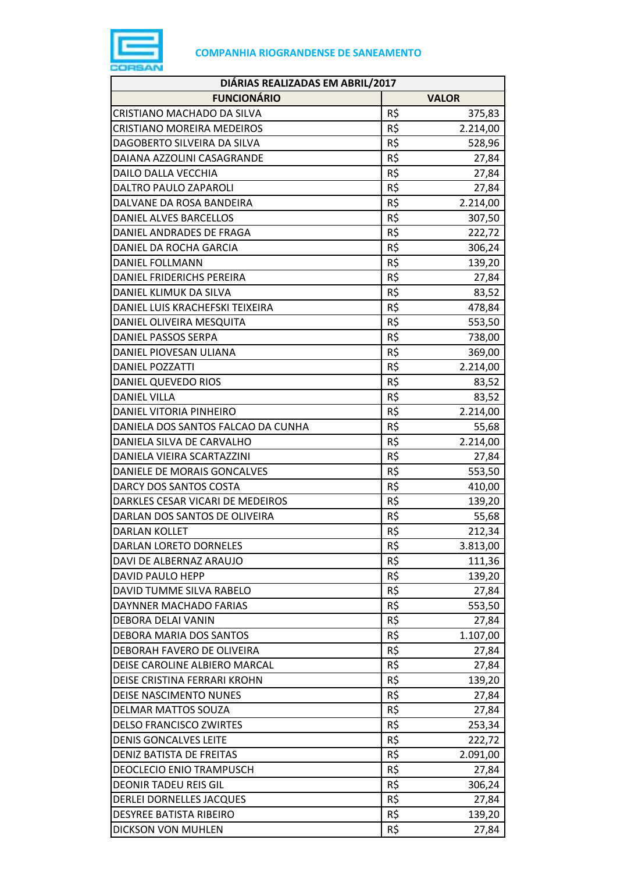

| DIÁRIAS REALIZADAS EM ABRIL/2017   |     |              |  |
|------------------------------------|-----|--------------|--|
| <b>FUNCIONÁRIO</b>                 |     | <b>VALOR</b> |  |
| CRISTIANO MACHADO DA SILVA         | R\$ | 375,83       |  |
| <b>CRISTIANO MOREIRA MEDEIROS</b>  | R\$ | 2.214,00     |  |
| DAGOBERTO SILVEIRA DA SILVA        | R\$ | 528,96       |  |
| DAIANA AZZOLINI CASAGRANDE         | R\$ | 27,84        |  |
| DAILO DALLA VECCHIA                | R\$ | 27,84        |  |
| DALTRO PAULO ZAPAROLI              | R\$ | 27,84        |  |
| DALVANE DA ROSA BANDEIRA           | R\$ | 2.214,00     |  |
| DANIEL ALVES BARCELLOS             | R\$ | 307,50       |  |
| DANIEL ANDRADES DE FRAGA           | R\$ | 222,72       |  |
| DANIEL DA ROCHA GARCIA             | R\$ | 306,24       |  |
| DANIEL FOLLMANN                    | R\$ | 139,20       |  |
| DANIEL FRIDERICHS PEREIRA          | R\$ | 27,84        |  |
| DANIEL KLIMUK DA SILVA             | R\$ | 83,52        |  |
| DANIEL LUIS KRACHEFSKI TEIXEIRA    | R\$ | 478,84       |  |
| DANIEL OLIVEIRA MESQUITA           | R\$ | 553,50       |  |
| DANIEL PASSOS SERPA                | R\$ | 738,00       |  |
| DANIEL PIOVESAN ULIANA             | R\$ | 369,00       |  |
| <b>DANIEL POZZATTI</b>             | R\$ | 2.214,00     |  |
| DANIEL QUEVEDO RIOS                | R\$ | 83,52        |  |
| <b>DANIEL VILLA</b>                | R\$ | 83,52        |  |
| DANIEL VITORIA PINHEIRO            | R\$ | 2.214,00     |  |
| DANIELA DOS SANTOS FALCAO DA CUNHA | R\$ | 55,68        |  |
| DANIELA SILVA DE CARVALHO          | R\$ | 2.214,00     |  |
| DANIELA VIEIRA SCARTAZZINI         | R\$ | 27,84        |  |
| DANIELE DE MORAIS GONCALVES        | R\$ | 553,50       |  |
| DARCY DOS SANTOS COSTA             | R\$ | 410,00       |  |
| DARKLES CESAR VICARI DE MEDEIROS   | R\$ | 139,20       |  |
| DARLAN DOS SANTOS DE OLIVEIRA      | R\$ | 55,68        |  |
| <b>DARLAN KOLLET</b>               | R\$ | 212,34       |  |
| <b>DARLAN LORETO DORNELES</b>      | R\$ | 3.813,00     |  |
| DAVI DE ALBERNAZ ARAUJO            | R\$ | 111,36       |  |
| DAVID PAULO HEPP                   | R\$ | 139,20       |  |
| DAVID TUMME SILVA RABELO           | R\$ | 27,84        |  |
| DAYNNER MACHADO FARIAS             | R\$ | 553,50       |  |
| DEBORA DELAI VANIN                 | R\$ | 27,84        |  |
| DEBORA MARIA DOS SANTOS            | R\$ | 1.107,00     |  |
| DEBORAH FAVERO DE OLIVEIRA         | R\$ | 27,84        |  |
| DEISE CAROLINE ALBIERO MARCAL      | R\$ | 27,84        |  |
| DEISE CRISTINA FERRARI KROHN       | R\$ | 139,20       |  |
| DEISE NASCIMENTO NUNES             | R\$ | 27,84        |  |
| DELMAR MATTOS SOUZA                | R\$ | 27,84        |  |
| <b>DELSO FRANCISCO ZWIRTES</b>     | R\$ | 253,34       |  |
| <b>DENIS GONCALVES LEITE</b>       | R\$ | 222,72       |  |
| DENIZ BATISTA DE FREITAS           | R\$ | 2.091,00     |  |
| <b>DEOCLECIO ENIO TRAMPUSCH</b>    | R\$ | 27,84        |  |
| <b>DEONIR TADEU REIS GIL</b>       | R\$ | 306,24       |  |
| DERLEI DORNELLES JACQUES           | R\$ | 27,84        |  |
| DESYREE BATISTA RIBEIRO            | R\$ | 139,20       |  |
| DICKSON VON MUHLEN                 | R\$ | 27,84        |  |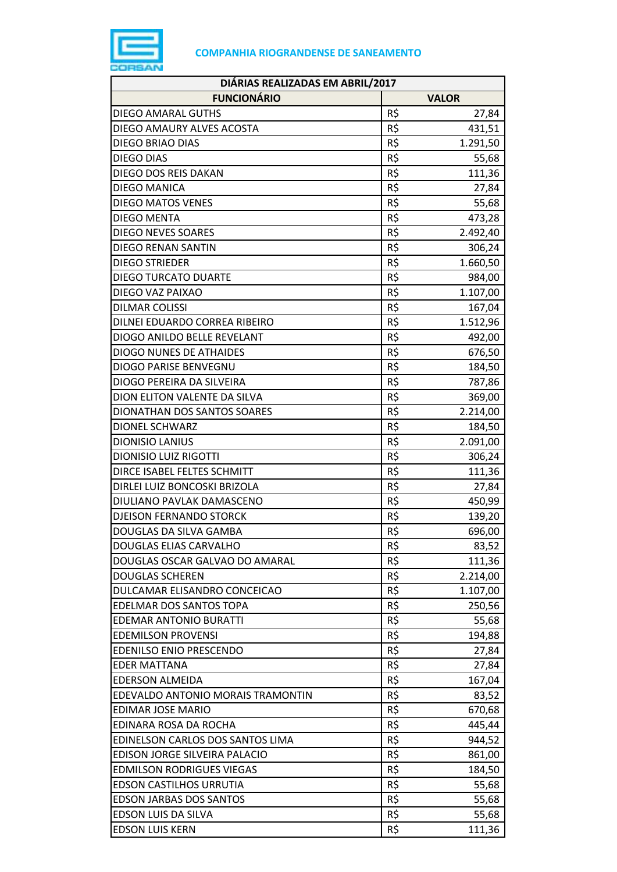

| DIÁRIAS REALIZADAS EM ABRIL/2017  |     |              |
|-----------------------------------|-----|--------------|
| <b>FUNCIONÁRIO</b>                |     | <b>VALOR</b> |
| <b>DIEGO AMARAL GUTHS</b>         | R\$ | 27,84        |
| DIEGO AMAURY ALVES ACOSTA         | R\$ | 431,51       |
| DIEGO BRIAO DIAS                  | R\$ | 1.291,50     |
| <b>DIEGO DIAS</b>                 | R\$ | 55,68        |
| DIEGO DOS REIS DAKAN              | R\$ | 111,36       |
| DIEGO MANICA                      | R\$ | 27,84        |
| <b>DIEGO MATOS VENES</b>          | R\$ | 55,68        |
| <b>DIEGO MENTA</b>                | R\$ | 473,28       |
| <b>DIEGO NEVES SOARES</b>         | R\$ | 2.492,40     |
| <b>DIEGO RENAN SANTIN</b>         | R\$ | 306,24       |
| <b>DIEGO STRIEDER</b>             | R\$ | 1.660,50     |
| <b>DIEGO TURCATO DUARTE</b>       | R\$ | 984,00       |
| DIEGO VAZ PAIXAO                  | R\$ | 1.107,00     |
| <b>DILMAR COLISSI</b>             | R\$ | 167,04       |
| DILNEI EDUARDO CORREA RIBEIRO     | R\$ | 1.512,96     |
| DIOGO ANILDO BELLE REVELANT       | R\$ | 492,00       |
| <b>DIOGO NUNES DE ATHAIDES</b>    | R\$ | 676,50       |
| <b>DIOGO PARISE BENVEGNU</b>      | R\$ | 184,50       |
| DIOGO PEREIRA DA SILVEIRA         | R\$ | 787,86       |
| DION ELITON VALENTE DA SILVA      | R\$ | 369,00       |
| DIONATHAN DOS SANTOS SOARES       | R\$ | 2.214,00     |
| <b>DIONEL SCHWARZ</b>             | R\$ | 184,50       |
| <b>DIONISIO LANIUS</b>            | R\$ | 2.091,00     |
| <b>DIONISIO LUIZ RIGOTTI</b>      | R\$ | 306,24       |
| DIRCE ISABEL FELTES SCHMITT       | R\$ | 111,36       |
| DIRLEI LUIZ BONCOSKI BRIZOLA      | R\$ | 27,84        |
| DIULIANO PAVLAK DAMASCENO         | R\$ | 450,99       |
| <b>DJEISON FERNANDO STORCK</b>    | R\$ | 139,20       |
| DOUGLAS DA SILVA GAMBA            | R\$ | 696,00       |
| <b>DOUGLAS ELIAS CARVALHO</b>     | R\$ | 83,52        |
| DOUGLAS OSCAR GALVAO DO AMARAL    | R\$ | 111,36       |
| <b>DOUGLAS SCHEREN</b>            | R\$ | 2.214,00     |
| DULCAMAR ELISANDRO CONCEICAO      | R\$ | 1.107,00     |
| EDELMAR DOS SANTOS TOPA           | R\$ | 250,56       |
| <b>EDEMAR ANTONIO BURATTI</b>     | R\$ | 55,68        |
| <b>EDEMILSON PROVENSI</b>         | R\$ | 194,88       |
| <b>EDENILSO ENIO PRESCENDO</b>    | R\$ | 27,84        |
| <b>EDER MATTANA</b>               | R\$ | 27,84        |
| <b>EDERSON ALMEIDA</b>            | R\$ | 167,04       |
| EDEVALDO ANTONIO MORAIS TRAMONTIN | R\$ | 83,52        |
| EDIMAR JOSE MARIO                 | R\$ | 670,68       |
| EDINARA ROSA DA ROCHA             | R\$ | 445,44       |
| EDINELSON CARLOS DOS SANTOS LIMA  | R\$ | 944,52       |
| EDISON JORGE SILVEIRA PALACIO     | R\$ | 861,00       |
| <b>EDMILSON RODRIGUES VIEGAS</b>  | R\$ | 184,50       |
| <b>EDSON CASTILHOS URRUTIA</b>    | R\$ | 55,68        |
| <b>EDSON JARBAS DOS SANTOS</b>    | R\$ | 55,68        |
| EDSON LUIS DA SILVA               | R\$ | 55,68        |
| <b>EDSON LUIS KERN</b>            | R\$ | 111,36       |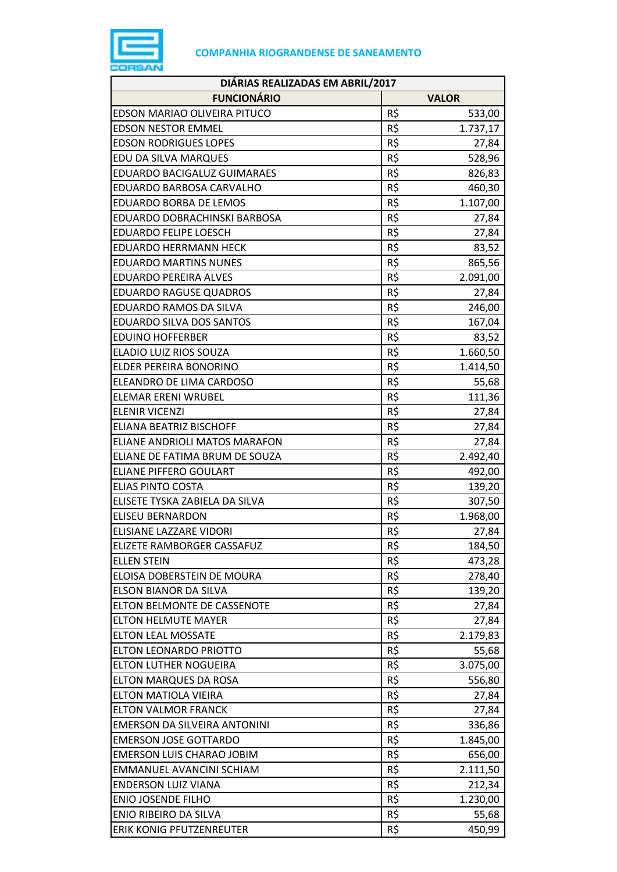

| DIÁRIAS REALIZADAS EM ABRIL/2017 |     |              |  |
|----------------------------------|-----|--------------|--|
| <b>FUNCIONÁRIO</b>               |     | <b>VALOR</b> |  |
| EDSON MARIAO OLIVEIRA PITUCO     | R\$ | 533,00       |  |
| <b>EDSON NESTOR EMMEL</b>        | R\$ | 1.737,17     |  |
| <b>EDSON RODRIGUES LOPES</b>     | R\$ | 27,84        |  |
| EDU DA SILVA MARQUES             | R\$ | 528,96       |  |
| EDUARDO BACIGALUZ GUIMARAES      | R\$ | 826,83       |  |
| EDUARDO BARBOSA CARVALHO         | R\$ | 460,30       |  |
| EDUARDO BORBA DE LEMOS           | R\$ | 1.107,00     |  |
| EDUARDO DOBRACHINSKI BARBOSA     | R\$ | 27,84        |  |
| <b>EDUARDO FELIPE LOESCH</b>     | R\$ | 27,84        |  |
| <b>EDUARDO HERRMANN HECK</b>     | R\$ | 83,52        |  |
| <b>EDUARDO MARTINS NUNES</b>     | R\$ | 865,56       |  |
| <b>EDUARDO PEREIRA ALVES</b>     | R\$ | 2.091,00     |  |
| <b>EDUARDO RAGUSE QUADROS</b>    | R\$ | 27,84        |  |
| EDUARDO RAMOS DA SILVA           | R\$ | 246,00       |  |
| EDUARDO SILVA DOS SANTOS         | R\$ | 167,04       |  |
| <b>EDUINO HOFFERBER</b>          | R\$ | 83,52        |  |
| ELADIO LUIZ RIOS SOUZA           | R\$ | 1.660,50     |  |
| ELDER PEREIRA BONORINO           | R\$ | 1.414,50     |  |
| ELEANDRO DE LIMA CARDOSO         | R\$ | 55,68        |  |
| <b>ELEMAR ERENI WRUBEL</b>       | R\$ | 111,36       |  |
| <b>ELENIR VICENZI</b>            | R\$ | 27,84        |  |
| ELIANA BEATRIZ BISCHOFF          | R\$ | 27,84        |  |
| ELIANE ANDRIOLI MATOS MARAFON    | R\$ | 27,84        |  |
| ELIANE DE FATIMA BRUM DE SOUZA   | R\$ | 2.492,40     |  |
| <b>ELIANE PIFFERO GOULART</b>    | R\$ | 492,00       |  |
| <b>ELIAS PINTO COSTA</b>         | R\$ | 139,20       |  |
| ELISETE TYSKA ZABIELA DA SILVA   | R\$ | 307,50       |  |
| <b>ELISEU BERNARDON</b>          | R\$ | 1.968,00     |  |
| ELISIANE LAZZARE VIDORI          | R\$ | 27,84        |  |
| ELIZETE RAMBORGER CASSAFUZ       | R\$ | 184,50       |  |
| <b>ELLEN STEIN</b>               | R\$ | 473,28       |  |
| ELOISA DOBERSTEIN DE MOURA       | R\$ | 278,40       |  |
| ELSON BIANOR DA SILVA            | R\$ | 139,20       |  |
| ELTON BELMONTE DE CASSENOTE      | R\$ | 27,84        |  |
| <b>ELTON HELMUTE MAYER</b>       | R\$ | 27,84        |  |
| <b>ELTON LEAL MOSSATE</b>        | R\$ | 2.179,83     |  |
| <b>ELTON LEONARDO PRIOTTO</b>    | R\$ | 55,68        |  |
| ELTON LUTHER NOGUEIRA            | R\$ | 3.075,00     |  |
| ELTON MARQUES DA ROSA            | R\$ | 556,80       |  |
| ELTON MATIOLA VIEIRA             | R\$ | 27,84        |  |
| <b>ELTON VALMOR FRANCK</b>       | R\$ | 27,84        |  |
| EMERSON DA SILVEIRA ANTONINI     | R\$ | 336,86       |  |
| <b>EMERSON JOSE GOTTARDO</b>     | R\$ | 1.845,00     |  |
| <b>EMERSON LUIS CHARAO JOBIM</b> | R\$ | 656,00       |  |
| EMMANUEL AVANCINI SCHIAM         | R\$ | 2.111,50     |  |
| <b>ENDERSON LUIZ VIANA</b>       | R\$ | 212,34       |  |
| <b>ENIO JOSENDE FILHO</b>        | R\$ | 1.230,00     |  |
| ENIO RIBEIRO DA SILVA            | R\$ | 55,68        |  |
| <b>ERIK KONIG PFUTZENREUTER</b>  | R\$ | 450,99       |  |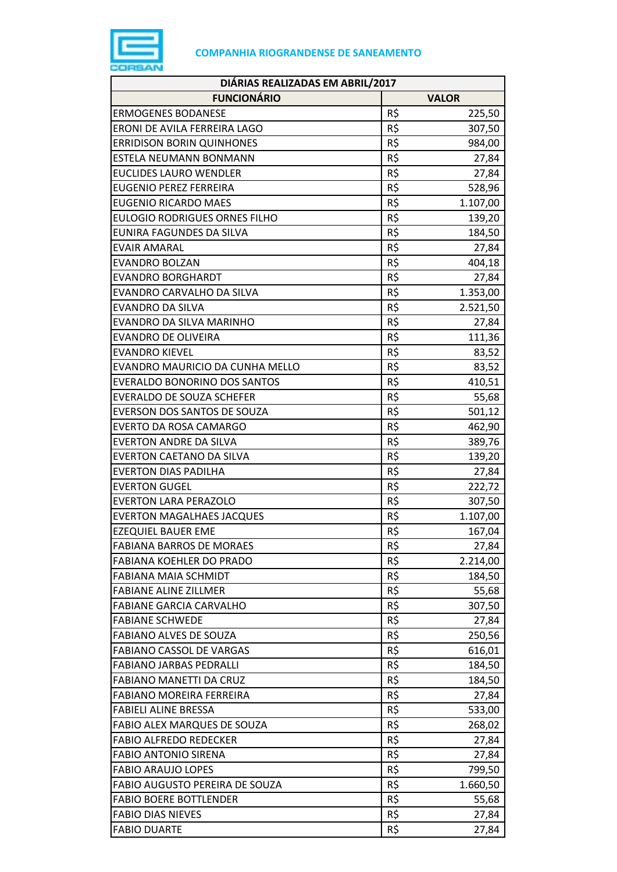

| DIÁRIAS REALIZADAS EM ABRIL/2017     |     |              |  |
|--------------------------------------|-----|--------------|--|
| <b>FUNCIONÁRIO</b>                   |     | <b>VALOR</b> |  |
| <b>ERMOGENES BODANESE</b>            | R\$ | 225,50       |  |
| ERONI DE AVILA FERREIRA LAGO         | R\$ | 307,50       |  |
| <b>ERRIDISON BORIN QUINHONES</b>     | R\$ | 984,00       |  |
| ESTELA NEUMANN BONMANN               | R\$ | 27,84        |  |
| <b>EUCLIDES LAURO WENDLER</b>        | R\$ | 27,84        |  |
| <b>EUGENIO PEREZ FERREIRA</b>        | R\$ | 528,96       |  |
| <b>EUGENIO RICARDO MAES</b>          | R\$ | 1.107,00     |  |
| <b>EULOGIO RODRIGUES ORNES FILHO</b> | R\$ | 139,20       |  |
| EUNIRA FAGUNDES DA SILVA             | R\$ | 184,50       |  |
| <b>EVAIR AMARAL</b>                  | R\$ | 27,84        |  |
| <b>EVANDRO BOLZAN</b>                | R\$ | 404,18       |  |
| <b>EVANDRO BORGHARDT</b>             | R\$ | 27,84        |  |
| EVANDRO CARVALHO DA SILVA            | R\$ | 1.353,00     |  |
| <b>EVANDRO DA SILVA</b>              | R\$ | 2.521,50     |  |
| EVANDRO DA SILVA MARINHO             | R\$ | 27,84        |  |
| <b>EVANDRO DE OLIVEIRA</b>           | R\$ | 111,36       |  |
| <b>EVANDRO KIEVEL</b>                | R\$ | 83,52        |  |
| EVANDRO MAURICIO DA CUNHA MELLO      | R\$ | 83,52        |  |
| <b>EVERALDO BONORINO DOS SANTOS</b>  | R\$ | 410,51       |  |
| EVERALDO DE SOUZA SCHEFER            | R\$ | 55,68        |  |
| EVERSON DOS SANTOS DE SOUZA          | R\$ | 501,12       |  |
| EVERTO DA ROSA CAMARGO               | R\$ | 462,90       |  |
| <b>EVERTON ANDRE DA SILVA</b>        | R\$ | 389,76       |  |
| <b>EVERTON CAETANO DA SILVA</b>      | R\$ | 139,20       |  |
| <b>EVERTON DIAS PADILHA</b>          | R\$ | 27,84        |  |
| <b>EVERTON GUGEL</b>                 | R\$ | 222,72       |  |
| <b>EVERTON LARA PERAZOLO</b>         | R\$ | 307,50       |  |
| <b>EVERTON MAGALHAES JACQUES</b>     | R\$ | 1.107,00     |  |
| <b>EZEQUIEL BAUER EME</b>            | R\$ | 167,04       |  |
| <b>FABIANA BARROS DE MORAES</b>      | R\$ | 27,84        |  |
| FABIANA KOEHLER DO PRADO             | R\$ | 2.214,00     |  |
| <b>FABIANA MAIA SCHMIDT</b>          | R\$ | 184,50       |  |
| <b>FABIANE ALINE ZILLMER</b>         | R\$ | 55,68        |  |
| <b>FABIANE GARCIA CARVALHO</b>       | R\$ | 307,50       |  |
| <b>FABIANE SCHWEDE</b>               | R\$ | 27,84        |  |
| <b>FABIANO ALVES DE SOUZA</b>        | R\$ | 250,56       |  |
| <b>FABIANO CASSOL DE VARGAS</b>      | R\$ | 616,01       |  |
| <b>FABIANO JARBAS PEDRALLI</b>       | R\$ | 184,50       |  |
| <b>FABIANO MANETTI DA CRUZ</b>       | R\$ | 184,50       |  |
| <b>FABIANO MOREIRA FERREIRA</b>      | R\$ | 27,84        |  |
| <b>FABIELI ALINE BRESSA</b>          | R\$ | 533,00       |  |
| FABIO ALEX MARQUES DE SOUZA          | R\$ | 268,02       |  |
| <b>FABIO ALFREDO REDECKER</b>        | R\$ | 27,84        |  |
| <b>FABIO ANTONIO SIRENA</b>          | R\$ | 27,84        |  |
| <b>FABIO ARAUJO LOPES</b>            | R\$ | 799,50       |  |
| FABIO AUGUSTO PEREIRA DE SOUZA       | R\$ | 1.660,50     |  |
| <b>FABIO BOERE BOTTLENDER</b>        | R\$ | 55,68        |  |
| <b>FABIO DIAS NIEVES</b>             | R\$ | 27,84        |  |
| <b>FABIO DUARTE</b>                  | R\$ | 27,84        |  |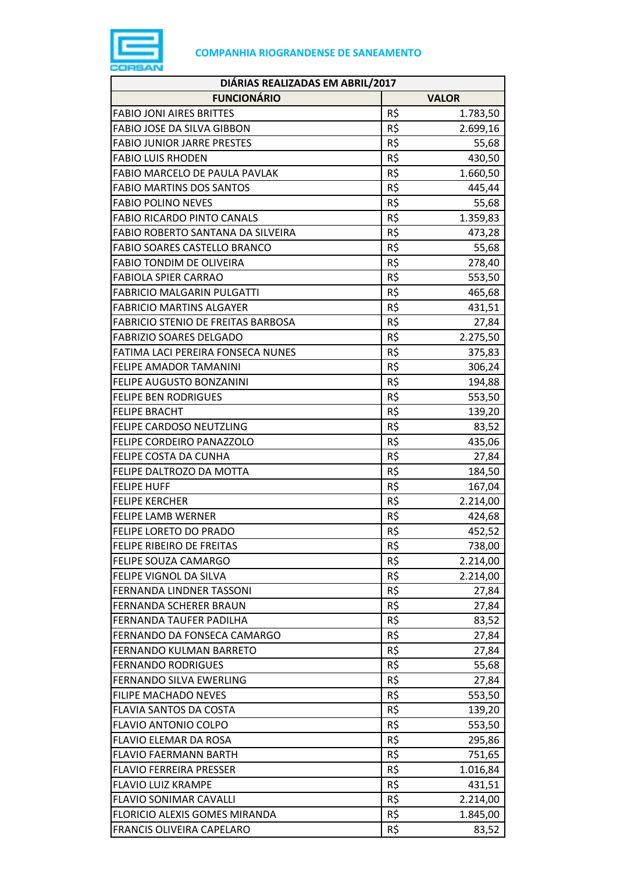

| DIÁRIAS REALIZADAS EM ABRIL/2017          |              |          |  |
|-------------------------------------------|--------------|----------|--|
| <b>FUNCIONÁRIO</b>                        | <b>VALOR</b> |          |  |
| <b>FABIO JONI AIRES BRITTES</b>           | R\$          | 1.783,50 |  |
| FABIO JOSE DA SILVA GIBBON                | R\$          | 2.699,16 |  |
| <b>FABIO JUNIOR JARRE PRESTES</b>         | R\$          | 55,68    |  |
| <b>FABIO LUIS RHODEN</b>                  | R\$          | 430,50   |  |
| FABIO MARCELO DE PAULA PAVLAK             | R\$          | 1.660,50 |  |
| <b>FABIO MARTINS DOS SANTOS</b>           | R\$          | 445,44   |  |
| <b>FABIO POLINO NEVES</b>                 | R\$          | 55,68    |  |
| <b>FABIO RICARDO PINTO CANALS</b>         | R\$          | 1.359,83 |  |
| FABIO ROBERTO SANTANA DA SILVEIRA         | R\$          | 473,28   |  |
| <b>FABIO SOARES CASTELLO BRANCO</b>       | R\$          | 55,68    |  |
| <b>FABIO TONDIM DE OLIVEIRA</b>           | R\$          | 278,40   |  |
| <b>FABIOLA SPIER CARRAO</b>               | R\$          | 553,50   |  |
| <b>FABRICIO MALGARIN PULGATTI</b>         | R\$          | 465,68   |  |
| <b>FABRICIO MARTINS ALGAYER</b>           | R\$          | 431,51   |  |
| <b>FABRICIO STENIO DE FREITAS BARBOSA</b> | R\$          | 27,84    |  |
| <b>FABRIZIO SOARES DELGADO</b>            | R\$          | 2.275,50 |  |
| FATIMA LACI PEREIRA FONSECA NUNES         | R\$          | 375,83   |  |
| FELIPE AMADOR TAMANINI                    | R\$          | 306,24   |  |
| FELIPE AUGUSTO BONZANINI                  | R\$          | 194,88   |  |
| <b>FELIPE BEN RODRIGUES</b>               | R\$          | 553,50   |  |
| <b>FELIPE BRACHT</b>                      | R\$          | 139,20   |  |
| FELIPE CARDOSO NEUTZLING                  | R\$          | 83,52    |  |
| FELIPE CORDEIRO PANAZZOLO                 | R\$          | 435,06   |  |
| FELIPE COSTA DA CUNHA                     | R\$          | 27,84    |  |
| FELIPE DALTROZO DA MOTTA                  | R\$          | 184,50   |  |
| <b>FELIPE HUFF</b>                        | R\$          | 167,04   |  |
| <b>FELIPE KERCHER</b>                     | R\$          | 2.214,00 |  |
| <b>FELIPE LAMB WERNER</b>                 | R\$          | 424,68   |  |
| <b>FELIPE LORETO DO PRADO</b>             | R\$          | 452,52   |  |
| FELIPE RIBEIRO DE FREITAS                 | R\$          | 738,00   |  |
| FELIPE SOUZA CAMARGO                      | R\$          | 2.214,00 |  |
| FELIPE VIGNOL DA SILVA                    | R\$          | 2.214,00 |  |
| FERNANDA LINDNER TASSONI                  | R\$          | 27,84    |  |
| <b>FERNANDA SCHERER BRAUN</b>             | R\$          | 27,84    |  |
| FERNANDA TAUFER PADILHA                   | R\$          | 83,52    |  |
| FERNANDO DA FONSECA CAMARGO               | R\$          | 27,84    |  |
| FERNANDO KULMAN BARRETO                   | R\$          | 27,84    |  |
| <b>FERNANDO RODRIGUES</b>                 | R\$          | 55,68    |  |
| FERNANDO SILVA EWERLING                   | R\$          | 27,84    |  |
| FILIPE MACHADO NEVES                      | R\$          | 553,50   |  |
| FLAVIA SANTOS DA COSTA                    | R\$          | 139,20   |  |
| <b>FLAVIO ANTONIO COLPO</b>               | R\$          | 553,50   |  |
| FLAVIO ELEMAR DA ROSA                     | R\$          | 295,86   |  |
| <b>FLAVIO FAERMANN BARTH</b>              | R\$          | 751,65   |  |
| <b>FLAVIO FERREIRA PRESSER</b>            | R\$          | 1.016,84 |  |
| <b>FLAVIO LUIZ KRAMPE</b>                 | R\$          | 431,51   |  |
| <b>FLAVIO SONIMAR CAVALLI</b>             | R\$          | 2.214,00 |  |
| FLORICIO ALEXIS GOMES MIRANDA             | R\$          | 1.845,00 |  |
| FRANCIS OLIVEIRA CAPELARO                 | R\$          | 83,52    |  |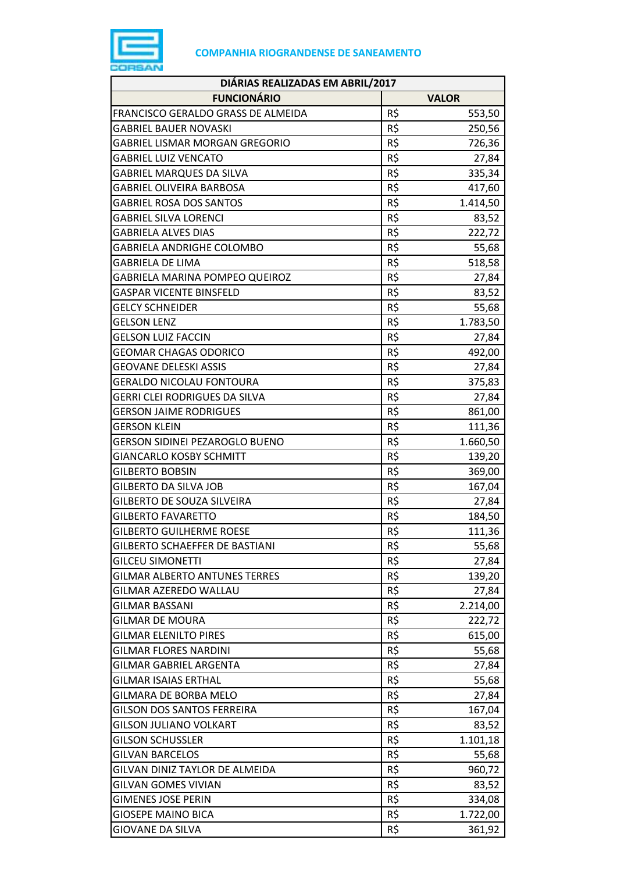

| DIÁRIAS REALIZADAS EM ABRIL/2017      |                 |              |  |
|---------------------------------------|-----------------|--------------|--|
| <b>FUNCIONÁRIO</b>                    |                 | <b>VALOR</b> |  |
| FRANCISCO GERALDO GRASS DE ALMEIDA    | R\$             | 553,50       |  |
| <b>GABRIEL BAUER NOVASKI</b>          | R\$             | 250,56       |  |
| <b>GABRIEL LISMAR MORGAN GREGORIO</b> | R\$             | 726,36       |  |
| <b>GABRIEL LUIZ VENCATO</b>           | R\$             | 27,84        |  |
| <b>GABRIEL MARQUES DA SILVA</b>       | R\$             | 335,34       |  |
| <b>GABRIEL OLIVEIRA BARBOSA</b>       | R\$             | 417,60       |  |
| <b>GABRIEL ROSA DOS SANTOS</b>        | R\$             | 1.414,50     |  |
| <b>GABRIEL SILVA LORENCI</b>          | R\$             | 83,52        |  |
| <b>GABRIELA ALVES DIAS</b>            | R\$             | 222,72       |  |
| <b>GABRIELA ANDRIGHE COLOMBO</b>      | R\$             | 55,68        |  |
| <b>GABRIELA DE LIMA</b>               | R\$             | 518,58       |  |
| GABRIELA MARINA POMPEO QUEIROZ        | R\$             | 27,84        |  |
| <b>GASPAR VICENTE BINSFELD</b>        | R\$             | 83,52        |  |
| <b>GELCY SCHNEIDER</b>                | R\$             | 55,68        |  |
| <b>GELSON LENZ</b>                    | R\$             | 1.783,50     |  |
| <b>GELSON LUIZ FACCIN</b>             | R\$             | 27,84        |  |
| <b>GEOMAR CHAGAS ODORICO</b>          | R\$             | 492,00       |  |
| <b>GEOVANE DELESKI ASSIS</b>          | R\$             | 27,84        |  |
| <b>GERALDO NICOLAU FONTOURA</b>       | R\$             | 375,83       |  |
| <b>GERRI CLEI RODRIGUES DA SILVA</b>  | R\$             | 27,84        |  |
| <b>GERSON JAIME RODRIGUES</b>         | R\$             | 861,00       |  |
| <b>GERSON KLEIN</b>                   | R\$             | 111,36       |  |
| <b>GERSON SIDINEI PEZAROGLO BUENO</b> | R\$             | 1.660,50     |  |
| <b>GIANCARLO KOSBY SCHMITT</b>        | R\$             | 139,20       |  |
| <b>GILBERTO BOBSIN</b>                | R\$             | 369,00       |  |
| <b>GILBERTO DA SILVA JOB</b>          | R\$             | 167,04       |  |
| GILBERTO DE SOUZA SILVEIRA            | R\$             | 27,84        |  |
| <b>GILBERTO FAVARETTO</b>             | R\$             | 184,50       |  |
| <b>GILBERTO GUILHERME ROESE</b>       | R\$             | 111,36       |  |
| <b>GILBERTO SCHAEFFER DE BASTIANI</b> | R\$             | 55,68        |  |
| <b>GILCEU SIMONETTI</b>               | R\$             | 27,84        |  |
| <b>GILMAR ALBERTO ANTUNES TERRES</b>  | R\$             | 139,20       |  |
| GILMAR AZEREDO WALLAU                 | R\$             | 27,84        |  |
| <b>GILMAR BASSANI</b>                 | R\$             | 2.214,00     |  |
| <b>GILMAR DE MOURA</b>                | $R\overline{S}$ | 222,72       |  |
| <b>GILMAR ELENILTO PIRES</b>          | R\$             | 615,00       |  |
| <b>GILMAR FLORES NARDINI</b>          | R\$             | 55,68        |  |
| <b>GILMAR GABRIEL ARGENTA</b>         | R\$             | 27,84        |  |
| <b>GILMAR ISAIAS ERTHAL</b>           | R\$             | 55,68        |  |
| GILMARA DE BORBA MELO                 | $R\overline{S}$ | 27,84        |  |
| <b>GILSON DOS SANTOS FERREIRA</b>     | R\$             | 167,04       |  |
| <b>GILSON JULIANO VOLKART</b>         | R\$             | 83,52        |  |
| <b>GILSON SCHUSSLER</b>               | R\$             | 1.101,18     |  |
| <b>GILVAN BARCELOS</b>                | R\$             | 55,68        |  |
| GILVAN DINIZ TAYLOR DE ALMEIDA        | R\$             | 960,72       |  |
| <b>GILVAN GOMES VIVIAN</b>            | R\$             | 83,52        |  |
| <b>GIMENES JOSE PERIN</b>             | R\$             | 334,08       |  |
| <b>GIOSEPE MAINO BICA</b>             | R\$             | 1.722,00     |  |
| <b>GIOVANE DA SILVA</b>               | R\$             | 361,92       |  |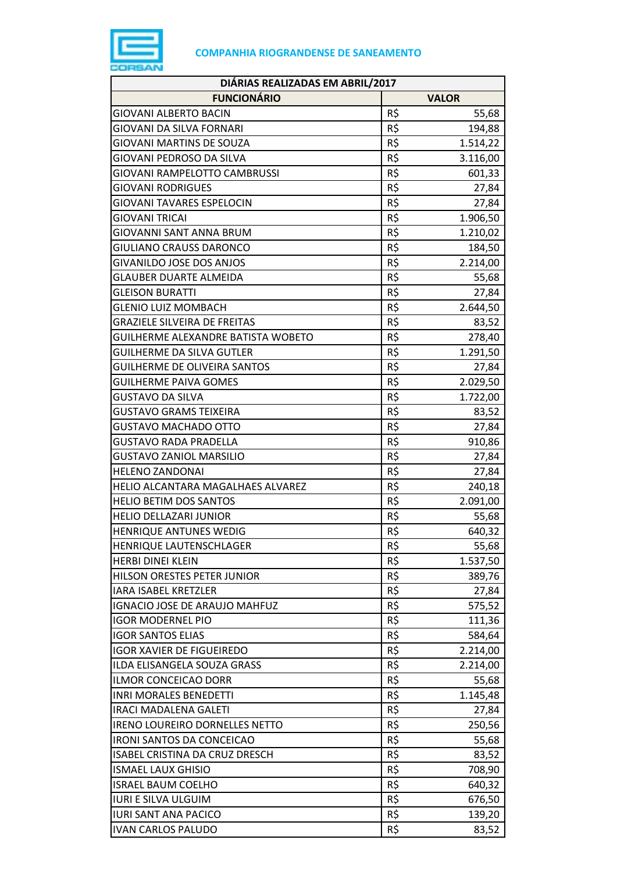

| DIÁRIAS REALIZADAS EM ABRIL/2017                                |            |              |
|-----------------------------------------------------------------|------------|--------------|
| <b>FUNCIONÁRIO</b>                                              |            | <b>VALOR</b> |
| <b>GIOVANI ALBERTO BACIN</b>                                    | R\$        | 55,68        |
| GIOVANI DA SILVA FORNARI                                        | R\$        | 194,88       |
| <b>GIOVANI MARTINS DE SOUZA</b>                                 | R\$        | 1.514,22     |
| GIOVANI PEDROSO DA SILVA                                        | R\$        | 3.116,00     |
| GIOVANI RAMPELOTTO CAMBRUSSI                                    | R\$        | 601,33       |
| <b>GIOVANI RODRIGUES</b>                                        | R\$        | 27,84        |
| <b>GIOVANI TAVARES ESPELOCIN</b>                                | R\$        | 27,84        |
| <b>GIOVANI TRICAI</b>                                           | R\$        | 1.906,50     |
| GIOVANNI SANT ANNA BRUM                                         | R\$        | 1.210,02     |
| <b>GIULIANO CRAUSS DARONCO</b>                                  | R\$        | 184,50       |
| <b>GIVANILDO JOSE DOS ANJOS</b>                                 | R\$        | 2.214,00     |
| <b>GLAUBER DUARTE ALMEIDA</b>                                   | R\$        | 55,68        |
| <b>GLEISON BURATTI</b>                                          | R\$        | 27,84        |
| <b>GLENIO LUIZ MOMBACH</b>                                      | R\$        | 2.644,50     |
| <b>GRAZIELE SILVEIRA DE FREITAS</b>                             | R\$        | 83,52        |
| GUILHERME ALEXANDRE BATISTA WOBETO                              | R\$        | 278,40       |
| GUILHERME DA SILVA GUTLER                                       | R\$        | 1.291,50     |
| <b>GUILHERME DE OLIVEIRA SANTOS</b>                             | R\$        | 27,84        |
| <b>GUILHERME PAIVA GOMES</b>                                    | R\$        | 2.029,50     |
| <b>GUSTAVO DA SILVA</b>                                         | R\$        | 1.722,00     |
| GUSTAVO GRAMS TEIXEIRA                                          | R\$        | 83,52        |
| GUSTAVO MACHADO OTTO                                            | R\$        | 27,84        |
| <b>GUSTAVO RADA PRADELLA</b>                                    | R\$        | 910,86       |
| <b>GUSTAVO ZANIOL MARSILIO</b>                                  | R\$        | 27,84        |
| <b>HELENO ZANDONAI</b>                                          | R\$        | 27,84        |
| HELIO ALCANTARA MAGALHAES ALVAREZ                               | R\$        | 240,18       |
| HELIO BETIM DOS SANTOS                                          | R\$        | 2.091,00     |
| <b>HELIO DELLAZARI JUNIOR</b>                                   | R\$        | 55,68        |
| <b>HENRIQUE ANTUNES WEDIG</b>                                   | R\$        | 640,32       |
| HENRIQUE LAUTENSCHLAGER                                         | R\$        | 55,68        |
| <b>HERBI DINEI KLEIN</b>                                        | R\$        | 1.537,50     |
| HILSON ORESTES PETER JUNIOR                                     | R\$        |              |
| <b>IARA ISABEL KRETZLER</b>                                     | R\$        | 389,76       |
| <b>IGNACIO JOSE DE ARAUJO MAHFUZ</b>                            | R\$        | 27,84        |
| <b>IGOR MODERNEL PIO</b>                                        | R\$        | 575,52       |
| <b>IGOR SANTOS ELIAS</b>                                        |            | 111,36       |
|                                                                 | R\$        | 584,64       |
| <b>IGOR XAVIER DE FIGUEIREDO</b><br>ILDA ELISANGELA SOUZA GRASS | R\$<br>R\$ | 2.214,00     |
|                                                                 |            | 2.214,00     |
| <b>ILMOR CONCEICAO DORR</b>                                     | R\$<br>R\$ | 55,68        |
| <b>INRI MORALES BENEDETTI</b>                                   |            | 1.145,48     |
| <b>IRACI MADALENA GALETI</b>                                    | R\$        | 27,84        |
| <b>IRENO LOUREIRO DORNELLES NETTO</b>                           | R\$        | 250,56       |
| <b>IRONI SANTOS DA CONCEICAO</b>                                | R\$        | 55,68        |
| ISABEL CRISTINA DA CRUZ DRESCH                                  | R\$        | 83,52        |
| <b>ISMAEL LAUX GHISIO</b>                                       | R\$        | 708,90       |
| <b>ISRAEL BAUM COELHO</b>                                       | R\$        | 640,32       |
| <b>IURI E SILVA ULGUIM</b>                                      | R\$        | 676,50       |
| <b>IURI SANT ANA PACICO</b>                                     | R\$        | 139,20       |
| <b>IVAN CARLOS PALUDO</b>                                       | R\$        | 83,52        |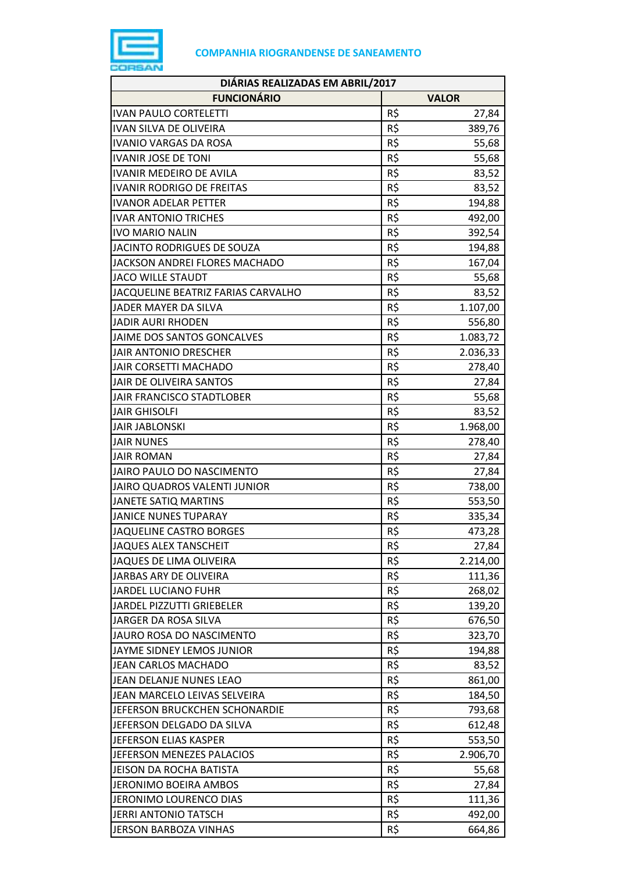

| DIÁRIAS REALIZADAS EM ABRIL/2017   |     |              |
|------------------------------------|-----|--------------|
| <b>FUNCIONÁRIO</b>                 |     | <b>VALOR</b> |
| <b>IVAN PAULO CORTELETTI</b>       | R\$ | 27,84        |
| <b>IVAN SILVA DE OLIVEIRA</b>      | R\$ | 389,76       |
| <b>IVANIO VARGAS DA ROSA</b>       | R\$ | 55,68        |
| <b>IVANIR JOSE DE TONI</b>         | R\$ | 55,68        |
| <b>IVANIR MEDEIRO DE AVILA</b>     | R\$ | 83,52        |
| <b>IVANIR RODRIGO DE FREITAS</b>   | R\$ | 83,52        |
| <b>IVANOR ADELAR PETTER</b>        | R\$ | 194,88       |
| <b>IVAR ANTONIO TRICHES</b>        | R\$ | 492,00       |
| <b>IVO MARIO NALIN</b>             | R\$ | 392,54       |
| JACINTO RODRIGUES DE SOUZA         | R\$ | 194,88       |
| JACKSON ANDREI FLORES MACHADO      | R\$ | 167,04       |
| <b>JACO WILLE STAUDT</b>           | R\$ | 55,68        |
| JACQUELINE BEATRIZ FARIAS CARVALHO | R\$ | 83,52        |
| JADER MAYER DA SILVA               | R\$ | 1.107,00     |
| <b>JADIR AURI RHODEN</b>           | R\$ | 556,80       |
| JAIME DOS SANTOS GONCALVES         | R\$ | 1.083,72     |
| <b>JAIR ANTONIO DRESCHER</b>       | R\$ | 2.036,33     |
| JAIR CORSETTI MACHADO              | R\$ | 278,40       |
| JAIR DE OLIVEIRA SANTOS            | R\$ | 27,84        |
| JAIR FRANCISCO STADTLOBER          | R\$ | 55,68        |
| <b>JAIR GHISOLFI</b>               | R\$ | 83,52        |
| <b>JAIR JABLONSKI</b>              | R\$ | 1.968,00     |
| <b>JAIR NUNES</b>                  | R\$ | 278,40       |
| <b>JAIR ROMAN</b>                  | R\$ | 27,84        |
| JAIRO PAULO DO NASCIMENTO          | R\$ | 27,84        |
| JAIRO QUADROS VALENTI JUNIOR       | R\$ | 738,00       |
| <b>JANETE SATIQ MARTINS</b>        | R\$ | 553,50       |
| <b>JANICE NUNES TUPARAY</b>        | R\$ | 335,34       |
| <b>JAQUELINE CASTRO BORGES</b>     | R\$ | 473,28       |
| <b>JAQUES ALEX TANSCHEIT</b>       | R\$ | 27,84        |
| JAQUES DE LIMA OLIVEIRA            | R\$ | 2.214,00     |
| JARBAS ARY DE OLIVEIRA             | R\$ | 111,36       |
| <b>JARDEL LUCIANO FUHR</b>         | R\$ | 268,02       |
| <b>JARDEL PIZZUTTI GRIEBELER</b>   | R\$ | 139,20       |
| JARGER DA ROSA SILVA               | R\$ | 676,50       |
| JAURO ROSA DO NASCIMENTO           | R\$ | 323,70       |
| JAYME SIDNEY LEMOS JUNIOR          | R\$ | 194,88       |
| <b>JEAN CARLOS MACHADO</b>         | R\$ | 83,52        |
| JEAN DELANJE NUNES LEAO            | R\$ | 861,00       |
| JEAN MARCELO LEIVAS SELVEIRA       | R\$ | 184,50       |
| JEFERSON BRUCKCHEN SCHONARDIE      | R\$ | 793,68       |
| JEFERSON DELGADO DA SILVA          | R\$ | 612,48       |
| JEFERSON ELIAS KASPER              | R\$ | 553,50       |
| JEFERSON MENEZES PALACIOS          | R\$ | 2.906,70     |
| JEISON DA ROCHA BATISTA            | R\$ | 55,68        |
| JERONIMO BOEIRA AMBOS              | R\$ | 27,84        |
| JERONIMO LOURENCO DIAS             | R\$ | 111,36       |
| JERRI ANTONIO TATSCH               | R\$ | 492,00       |
| <b>JERSON BARBOZA VINHAS</b>       | R\$ | 664,86       |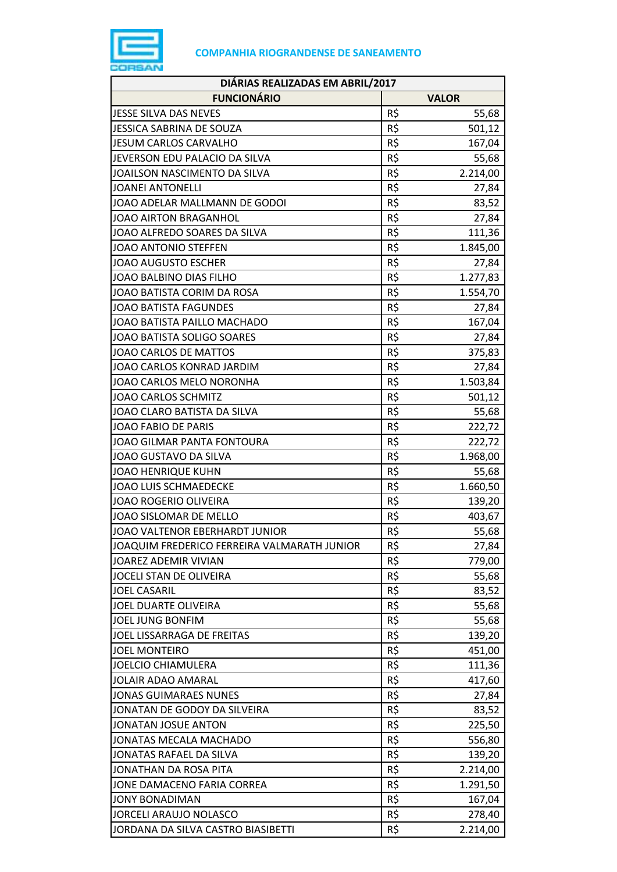

| DIÁRIAS REALIZADAS EM ABRIL/2017                          |                 |              |
|-----------------------------------------------------------|-----------------|--------------|
| <b>FUNCIONÁRIO</b>                                        |                 | <b>VALOR</b> |
| JESSE SILVA DAS NEVES                                     | R\$             | 55,68        |
| JESSICA SABRINA DE SOUZA                                  | R\$             | 501,12       |
| <b>JESUM CARLOS CARVALHO</b>                              | R\$             | 167,04       |
| JEVERSON EDU PALACIO DA SILVA                             | R\$             | 55,68        |
| JOAILSON NASCIMENTO DA SILVA                              | R\$             | 2.214,00     |
| <b>JOANEI ANTONELLI</b>                                   | R\$             | 27,84        |
| JOAO ADELAR MALLMANN DE GODOI                             | R\$             | 83,52        |
| JOAO AIRTON BRAGANHOL                                     | R\$             | 27,84        |
| JOAO ALFREDO SOARES DA SILVA                              | R\$             | 111,36       |
| JOAO ANTONIO STEFFEN                                      | R\$             | 1.845,00     |
| <b>JOAO AUGUSTO ESCHER</b>                                | R\$             | 27,84        |
| JOAO BALBINO DIAS FILHO                                   | R\$             | 1.277,83     |
| JOAO BATISTA CORIM DA ROSA                                | R\$             | 1.554,70     |
| <b>JOAO BATISTA FAGUNDES</b>                              | R\$             | 27,84        |
| JOAO BATISTA PAILLO MACHADO                               | R\$             | 167,04       |
| JOAO BATISTA SOLIGO SOARES                                | R\$             | 27,84        |
| JOAO CARLOS DE MATTOS                                     | R\$             | 375,83       |
| JOAO CARLOS KONRAD JARDIM                                 | R\$             | 27,84        |
| JOAO CARLOS MELO NORONHA                                  | R\$             | 1.503,84     |
| <b>JOAO CARLOS SCHMITZ</b>                                | R\$             | 501,12       |
| JOAO CLARO BATISTA DA SILVA                               | R\$             | 55,68        |
| <b>JOAO FABIO DE PARIS</b>                                | R\$             |              |
| JOAO GILMAR PANTA FONTOURA                                | R\$             | 222,72       |
| JOAO GUSTAVO DA SILVA                                     | R\$             | 222,72       |
|                                                           | R\$             | 1.968,00     |
| <b>JOAO HENRIQUE KUHN</b><br><b>JOAO LUIS SCHMAEDECKE</b> | R\$             | 55,68        |
| <b>JOAO ROGERIO OLIVEIRA</b>                              | R\$             | 1.660,50     |
| JOAO SISLOMAR DE MELLO                                    | R\$             | 139,20       |
|                                                           |                 | 403,67       |
| JOAO VALTENOR EBERHARDT JUNIOR                            | R\$<br>R\$      | 55,68        |
| JOAQUIM FREDERICO FERREIRA VALMARATH JUNIOR               |                 | 27,84        |
| JOAREZ ADEMIR VIVIAN                                      | R\$             | 779,00       |
| JOCELI STAN DE OLIVEIRA                                   | R\$<br>R\$      | 55,68        |
| <b>JOEL CASARIL</b>                                       |                 | 83,52        |
| JOEL DUARTE OLIVEIRA                                      | R\$             | 55,68        |
| <b>JOEL JUNG BONFIM</b>                                   | R\$             | 55,68        |
| JOEL LISSARRAGA DE FREITAS                                | R\$             | 139,20       |
| <b>JOEL MONTEIRO</b>                                      | R\$             | 451,00       |
| <b>JOELCIO CHIAMULERA</b>                                 | R\$             | 111,36       |
| <b>JOLAIR ADAO AMARAL</b>                                 | R\$             | 417,60       |
| <b>JONAS GUIMARAES NUNES</b>                              | R\$             | 27,84        |
| JONATAN DE GODOY DA SILVEIRA                              | R\$             | 83,52        |
| <b>JONATAN JOSUE ANTON</b>                                | R\$             | 225,50       |
| JONATAS MECALA MACHADO                                    | R\$             | 556,80       |
| JONATAS RAFAEL DA SILVA                                   | R\$             | 139,20       |
| JONATHAN DA ROSA PITA                                     | $R\overline{S}$ | 2.214,00     |
| JONE DAMACENO FARIA CORREA                                | R\$             | 1.291,50     |
| <b>JONY BONADIMAN</b>                                     | R\$             | 167,04       |
| JORCELI ARAUJO NOLASCO                                    | R\$             | 278,40       |
| JORDANA DA SILVA CASTRO BIASIBETTI                        | R\$             | 2.214,00     |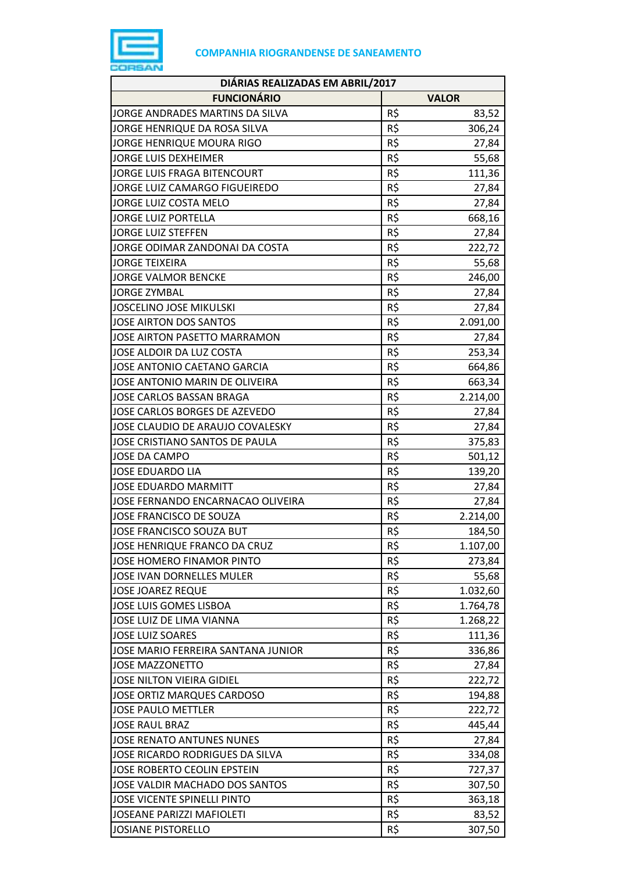

| DIÁRIAS REALIZADAS EM ABRIL/2017    |     |              |
|-------------------------------------|-----|--------------|
| <b>FUNCIONÁRIO</b>                  |     | <b>VALOR</b> |
| JORGE ANDRADES MARTINS DA SILVA     | R\$ | 83,52        |
| JORGE HENRIQUE DA ROSA SILVA        | R\$ | 306,24       |
| JORGE HENRIQUE MOURA RIGO           | R\$ | 27,84        |
| JORGE LUIS DEXHEIMER                | R\$ | 55,68        |
| JORGE LUIS FRAGA BITENCOURT         | R\$ | 111,36       |
| JORGE LUIZ CAMARGO FIGUEIREDO       | R\$ | 27,84        |
| JORGE LUIZ COSTA MELO               | R\$ | 27,84        |
| <b>JORGE LUIZ PORTELLA</b>          | R\$ | 668,16       |
| <b>JORGE LUIZ STEFFEN</b>           | R\$ | 27,84        |
| JORGE ODIMAR ZANDONAI DA COSTA      | R\$ | 222,72       |
| <b>JORGE TEIXEIRA</b>               | R\$ | 55,68        |
| <b>JORGE VALMOR BENCKE</b>          | R\$ | 246,00       |
| <b>JORGE ZYMBAL</b>                 | R\$ | 27,84        |
| <b>JOSCELINO JOSE MIKULSKI</b>      | R\$ | 27,84        |
| JOSE AIRTON DOS SANTOS              | R\$ | 2.091,00     |
| <b>JOSE AIRTON PASETTO MARRAMON</b> | R\$ | 27,84        |
| JOSE ALDOIR DA LUZ COSTA            | R\$ | 253,34       |
| JOSE ANTONIO CAETANO GARCIA         | R\$ | 664,86       |
| JOSE ANTONIO MARIN DE OLIVEIRA      | R\$ | 663,34       |
| <b>JOSE CARLOS BASSAN BRAGA</b>     | R\$ | 2.214,00     |
| JOSE CARLOS BORGES DE AZEVEDO       | R\$ | 27,84        |
| JOSE CLAUDIO DE ARAUJO COVALESKY    | R\$ | 27,84        |
| JOSE CRISTIANO SANTOS DE PAULA      | R\$ | 375,83       |
| <b>JOSE DA CAMPO</b>                | R\$ | 501,12       |
| <b>JOSE EDUARDO LIA</b>             | R\$ | 139,20       |
| <b>JOSE EDUARDO MARMITT</b>         | R\$ | 27,84        |
| JOSE FERNANDO ENCARNACAO OLIVEIRA   | R\$ | 27,84        |
| JOSE FRANCISCO DE SOUZA             | R\$ | 2.214,00     |
| <b>JOSE FRANCISCO SOUZA BUT</b>     | R\$ | 184,50       |
| JOSE HENRIQUE FRANCO DA CRUZ        | R\$ | 1.107,00     |
| JOSE HOMERO FINAMOR PINTO           | R\$ | 273,84       |
| <b>JOSE IVAN DORNELLES MULER</b>    | R\$ | 55,68        |
| <b>JOSE JOAREZ REQUE</b>            | R\$ | 1.032,60     |
| <b>JOSE LUIS GOMES LISBOA</b>       | R\$ | 1.764,78     |
| JOSE LUIZ DE LIMA VIANNA            | R\$ | 1.268,22     |
| JOSE LUIZ SOARES                    | R\$ | 111,36       |
| JOSE MARIO FERREIRA SANTANA JUNIOR  | R\$ | 336,86       |
| JOSE MAZZONETTO                     | R\$ | 27,84        |
| <b>JOSE NILTON VIEIRA GIDIEL</b>    | R\$ | 222,72       |
| <b>JOSE ORTIZ MARQUES CARDOSO</b>   | R\$ | 194,88       |
| <b>JOSE PAULO METTLER</b>           | R\$ | 222,72       |
| <b>JOSE RAUL BRAZ</b>               | R\$ | 445,44       |
| <b>JOSE RENATO ANTUNES NUNES</b>    | R\$ | 27,84        |
| JOSE RICARDO RODRIGUES DA SILVA     | R\$ | 334,08       |
| JOSE ROBERTO CEOLIN EPSTEIN         | R\$ | 727,37       |
| JOSE VALDIR MACHADO DOS SANTOS      | R\$ | 307,50       |
| <b>JOSE VICENTE SPINELLI PINTO</b>  | R\$ | 363,18       |
| <b>JOSEANE PARIZZI MAFIOLETI</b>    | R\$ | 83,52        |
| <b>JOSIANE PISTORELLO</b>           | R\$ | 307,50       |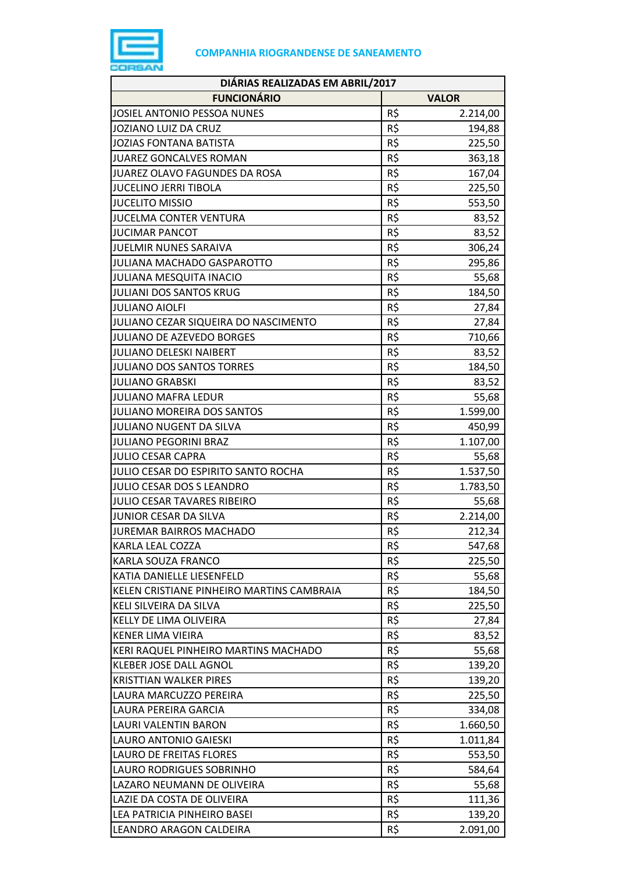

| DIÁRIAS REALIZADAS EM ABRIL/2017          |                 |              |  |
|-------------------------------------------|-----------------|--------------|--|
| <b>FUNCIONÁRIO</b>                        |                 | <b>VALOR</b> |  |
| JOSIEL ANTONIO PESSOA NUNES               | R\$             | 2.214,00     |  |
| JOZIANO LUIZ DA CRUZ                      | R\$             | 194,88       |  |
| <b>JOZIAS FONTANA BATISTA</b>             | R\$             | 225,50       |  |
| <b>JUAREZ GONCALVES ROMAN</b>             | R\$             | 363,18       |  |
| JUAREZ OLAVO FAGUNDES DA ROSA             | R\$             | 167,04       |  |
| <b>JUCELINO JERRI TIBOLA</b>              | R\$             | 225,50       |  |
| <b>JUCELITO MISSIO</b>                    | R\$             | 553,50       |  |
| <b>JUCELMA CONTER VENTURA</b>             | R\$             | 83,52        |  |
| <b>JUCIMAR PANCOT</b>                     | R\$             | 83,52        |  |
| JUELMIR NUNES SARAIVA                     | R\$             | 306,24       |  |
| JULIANA MACHADO GASPAROTTO                | R\$             | 295,86       |  |
| <b>JULIANA MESQUITA INACIO</b>            | R\$             | 55,68        |  |
| <b>JULIANI DOS SANTOS KRUG</b>            | R\$             | 184,50       |  |
| <b>JULIANO AIOLFI</b>                     | R\$             | 27,84        |  |
| JULIANO CEZAR SIQUEIRA DO NASCIMENTO      | R\$             | 27,84        |  |
| <b>JULIANO DE AZEVEDO BORGES</b>          | R\$             | 710,66       |  |
| <b>JULIANO DELESKI NAIBERT</b>            | R\$             | 83,52        |  |
| <b>JULIANO DOS SANTOS TORRES</b>          | R\$             | 184,50       |  |
| <b>JULIANO GRABSKI</b>                    | R\$             | 83,52        |  |
| <b>JULIANO MAFRA LEDUR</b>                | R\$             | 55,68        |  |
| <b>JULIANO MOREIRA DOS SANTOS</b>         | R\$             | 1.599,00     |  |
| JULIANO NUGENT DA SILVA                   | R\$             | 450,99       |  |
| <b>JULIANO PEGORINI BRAZ</b>              | R\$             | 1.107,00     |  |
| <b>JULIO CESAR CAPRA</b>                  | R\$             | 55,68        |  |
| JULIO CESAR DO ESPIRITO SANTO ROCHA       | R\$             | 1.537,50     |  |
| JULIO CESAR DOS S LEANDRO                 | R\$             | 1.783,50     |  |
| JULIO CESAR TAVARES RIBEIRO               | R\$             | 55,68        |  |
| JUNIOR CESAR DA SILVA                     | R\$             | 2.214,00     |  |
| <b>JUREMAR BAIRROS MACHADO</b>            | R\$             | 212,34       |  |
| KARLA LEAL COZZA                          | R\$             | 547,68       |  |
| KARLA SOUZA FRANCO                        | R\$             | 225,50       |  |
| KATIA DANIELLE LIESENFELD                 | R\$             | 55,68        |  |
| KELEN CRISTIANE PINHEIRO MARTINS CAMBRAIA | $R\overline{S}$ | 184,50       |  |
| KELI SILVEIRA DA SILVA                    | R\$             | 225,50       |  |
| KELLY DE LIMA OLIVEIRA                    | R\$             | 27,84        |  |
| <b>KENER LIMA VIEIRA</b>                  | R\$             | 83,52        |  |
| KERI RAQUEL PINHEIRO MARTINS MACHADO      | R\$             | 55,68        |  |
| <b>KLEBER JOSE DALL AGNOL</b>             | R\$             | 139,20       |  |
| <b>KRISTTIAN WALKER PIRES</b>             | R\$             | 139,20       |  |
| LAURA MARCUZZO PEREIRA                    | R\$             | 225,50       |  |
| LAURA PEREIRA GARCIA                      | R\$             | 334,08       |  |
| LAURI VALENTIN BARON                      | R\$             | 1.660,50     |  |
| LAURO ANTONIO GAIESKI                     | R\$             | 1.011,84     |  |
| LAURO DE FREITAS FLORES                   | R\$             | 553,50       |  |
| LAURO RODRIGUES SOBRINHO                  | R\$             | 584,64       |  |
| LAZARO NEUMANN DE OLIVEIRA                | R\$             | 55,68        |  |
| LAZIE DA COSTA DE OLIVEIRA                | R\$             | 111,36       |  |
| LEA PATRICIA PINHEIRO BASEI               | R\$             | 139,20       |  |
| LEANDRO ARAGON CALDEIRA                   | R\$             | 2.091,00     |  |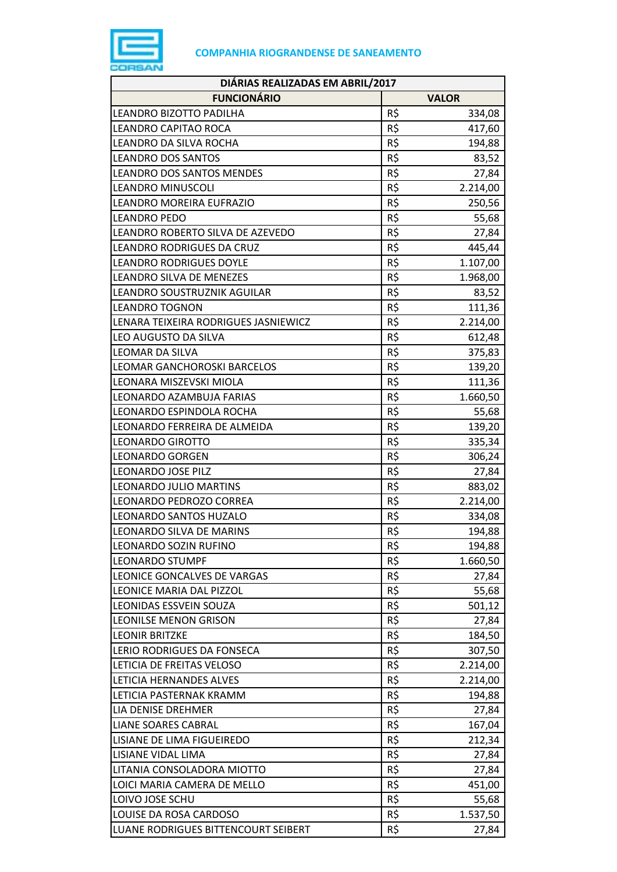

| DIÁRIAS REALIZADAS EM ABRIL/2017     |     |              |
|--------------------------------------|-----|--------------|
| <b>FUNCIONÁRIO</b>                   |     | <b>VALOR</b> |
| LEANDRO BIZOTTO PADILHA              | R\$ | 334,08       |
| LEANDRO CAPITAO ROCA                 | R\$ | 417,60       |
| LEANDRO DA SILVA ROCHA               | R\$ | 194,88       |
| <b>LEANDRO DOS SANTOS</b>            | R\$ | 83,52        |
| LEANDRO DOS SANTOS MENDES            | R\$ | 27,84        |
| <b>LEANDRO MINUSCOLI</b>             | R\$ | 2.214,00     |
| LEANDRO MOREIRA EUFRAZIO             | R\$ | 250,56       |
| <b>LEANDRO PEDO</b>                  | R\$ | 55,68        |
| LEANDRO ROBERTO SILVA DE AZEVEDO     | R\$ | 27,84        |
| LEANDRO RODRIGUES DA CRUZ            | R\$ | 445,44       |
| <b>LEANDRO RODRIGUES DOYLE</b>       | R\$ | 1.107,00     |
| LEANDRO SILVA DE MENEZES             | R\$ | 1.968,00     |
| LEANDRO SOUSTRUZNIK AGUILAR          | R\$ | 83,52        |
| <b>LEANDRO TOGNON</b>                | R\$ | 111,36       |
| LENARA TEIXEIRA RODRIGUES JASNIEWICZ | R\$ | 2.214,00     |
| LEO AUGUSTO DA SILVA                 | R\$ | 612,48       |
| LEOMAR DA SILVA                      | R\$ | 375,83       |
| LEOMAR GANCHOROSKI BARCELOS          | R\$ | 139,20       |
| LEONARA MISZEVSKI MIOLA              | R\$ | 111,36       |
| LEONARDO AZAMBUJA FARIAS             | R\$ | 1.660,50     |
| LEONARDO ESPINDOLA ROCHA             | R\$ | 55,68        |
| LEONARDO FERREIRA DE ALMEIDA         | R\$ | 139,20       |
| <b>LEONARDO GIROTTO</b>              | R\$ | 335,34       |
| <b>LEONARDO GORGEN</b>               | R\$ | 306,24       |
| <b>LEONARDO JOSE PILZ</b>            | R\$ | 27,84        |
| LEONARDO JULIO MARTINS               | R\$ | 883,02       |
| LEONARDO PEDROZO CORREA              | R\$ | 2.214,00     |
| LEONARDO SANTOS HUZALO               | R\$ | 334,08       |
| LEONARDO SILVA DE MARINS             | R\$ | 194,88       |
| LEONARDO SOZIN RUFINO                | R\$ | 194,88       |
| <b>LEONARDO STUMPF</b>               | R\$ | 1.660,50     |
| LEONICE GONCALVES DE VARGAS          | R\$ | 27,84        |
| LEONICE MARIA DAL PIZZOL             | R\$ | 55,68        |
| LEONIDAS ESSVEIN SOUZA               | R\$ | 501,12       |
| <b>LEONILSE MENON GRISON</b>         | R\$ | 27,84        |
| <b>LEONIR BRITZKE</b>                | R\$ | 184,50       |
| LERIO RODRIGUES DA FONSECA           | R\$ | 307,50       |
| LETICIA DE FREITAS VELOSO            | R\$ | 2.214,00     |
| LETICIA HERNANDES ALVES              | R\$ | 2.214,00     |
| LETICIA PASTERNAK KRAMM              | R\$ | 194,88       |
| LIA DENISE DREHMER                   | R\$ | 27,84        |
| LIANE SOARES CABRAL                  | R\$ | 167,04       |
| LISIANE DE LIMA FIGUEIREDO           | R\$ | 212,34       |
| LISIANE VIDAL LIMA                   | R\$ | 27,84        |
| LITANIA CONSOLADORA MIOTTO           | R\$ | 27,84        |
| LOICI MARIA CAMERA DE MELLO          | R\$ | 451,00       |
| LOIVO JOSE SCHU                      | R\$ | 55,68        |
| LOUISE DA ROSA CARDOSO               | R\$ | 1.537,50     |
| LUANE RODRIGUES BITTENCOURT SEIBERT  | R\$ | 27,84        |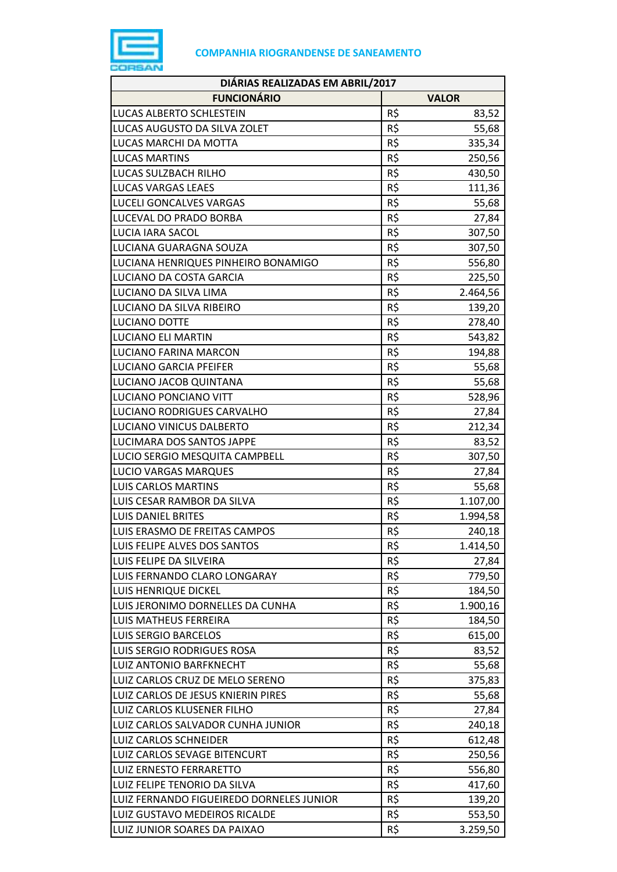

| DIÁRIAS REALIZADAS EM ABRIL/2017         |     |              |
|------------------------------------------|-----|--------------|
| <b>FUNCIONÁRIO</b>                       |     | <b>VALOR</b> |
| LUCAS ALBERTO SCHLESTEIN                 | R\$ | 83,52        |
| LUCAS AUGUSTO DA SILVA ZOLET             | R\$ | 55,68        |
| LUCAS MARCHI DA MOTTA                    | R\$ | 335,34       |
| <b>LUCAS MARTINS</b>                     | R\$ | 250,56       |
| LUCAS SULZBACH RILHO                     | R\$ | 430,50       |
| LUCAS VARGAS LEAES                       | R\$ | 111,36       |
| LUCELI GONCALVES VARGAS                  | R\$ | 55,68        |
| LUCEVAL DO PRADO BORBA                   | R\$ | 27,84        |
| LUCIA IARA SACOL                         | R\$ | 307,50       |
| LUCIANA GUARAGNA SOUZA                   | R\$ | 307,50       |
| LUCIANA HENRIQUES PINHEIRO BONAMIGO      | R\$ | 556,80       |
| LUCIANO DA COSTA GARCIA                  | R\$ | 225,50       |
| LUCIANO DA SILVA LIMA                    | R\$ | 2.464,56     |
| LUCIANO DA SILVA RIBEIRO                 | R\$ | 139,20       |
| LUCIANO DOTTE                            | R\$ | 278,40       |
| <b>LUCIANO ELI MARTIN</b>                | R\$ | 543,82       |
| LUCIANO FARINA MARCON                    | R\$ | 194,88       |
| <b>LUCIANO GARCIA PFEIFER</b>            | R\$ | 55,68        |
| LUCIANO JACOB QUINTANA                   | R\$ | 55,68        |
| LUCIANO PONCIANO VITT                    | R\$ | 528,96       |
| LUCIANO RODRIGUES CARVALHO               | R\$ | 27,84        |
| LUCIANO VINICUS DALBERTO                 | R\$ | 212,34       |
| LUCIMARA DOS SANTOS JAPPE                | R\$ | 83,52        |
| LUCIO SERGIO MESQUITA CAMPBELL           | R\$ | 307,50       |
| <b>LUCIO VARGAS MARQUES</b>              | R\$ | 27,84        |
| <b>LUIS CARLOS MARTINS</b>               | R\$ | 55,68        |
| LUIS CESAR RAMBOR DA SILVA               | R\$ | 1.107,00     |
| <b>LUIS DANIEL BRITES</b>                | R\$ | 1.994,58     |
| LUIS ERASMO DE FREITAS CAMPOS            | R\$ | 240,18       |
| LUIS FELIPE ALVES DOS SANTOS             | R\$ | 1.414,50     |
| LUIS FELIPE DA SILVEIRA                  | R\$ | 27,84        |
| LUIS FERNANDO CLARO LONGARAY             | R\$ | 779,50       |
| <b>LUIS HENRIQUE DICKEL</b>              | R\$ | 184,50       |
| LUIS JERONIMO DORNELLES DA CUNHA         | R\$ | 1.900,16     |
| LUIS MATHEUS FERREIRA                    | R\$ | 184,50       |
| <b>LUIS SERGIO BARCELOS</b>              | R\$ | 615,00       |
| LUIS SERGIO RODRIGUES ROSA               | R\$ | 83,52        |
| LUIZ ANTONIO BARFKNECHT                  | R\$ | 55,68        |
| LUIZ CARLOS CRUZ DE MELO SERENO          | R\$ | 375,83       |
| LUIZ CARLOS DE JESUS KNIERIN PIRES       | R\$ | 55,68        |
| LUIZ CARLOS KLUSENER FILHO               | R\$ | 27,84        |
| LUIZ CARLOS SALVADOR CUNHA JUNIOR        | R\$ | 240,18       |
| <b>LUIZ CARLOS SCHNEIDER</b>             | R\$ | 612,48       |
| LUIZ CARLOS SEVAGE BITENCURT             | R\$ | 250,56       |
| LUIZ ERNESTO FERRARETTO                  | R\$ | 556,80       |
| LUIZ FELIPE TENORIO DA SILVA             | R\$ | 417,60       |
| LUIZ FERNANDO FIGUEIREDO DORNELES JUNIOR | R\$ | 139,20       |
| LUIZ GUSTAVO MEDEIROS RICALDE            | R\$ | 553,50       |
| LUIZ JUNIOR SOARES DA PAIXAO             | R\$ | 3.259,50     |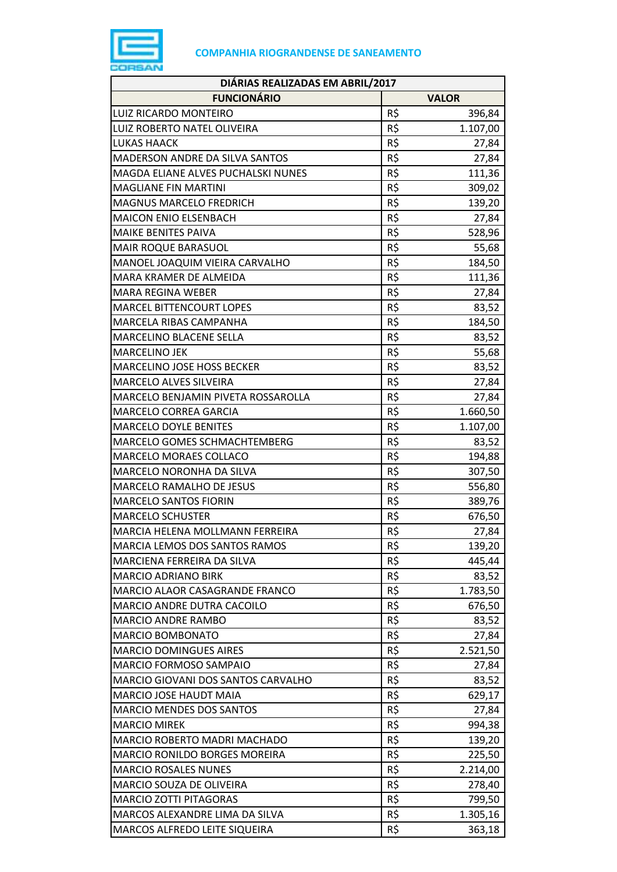

| DIÁRIAS REALIZADAS EM ABRIL/2017   |     |                  |
|------------------------------------|-----|------------------|
| <b>FUNCIONÁRIO</b>                 |     | <b>VALOR</b>     |
| LUIZ RICARDO MONTEIRO              | R\$ | 396,84           |
| LUIZ ROBERTO NATEL OLIVEIRA        | R\$ | 1.107,00         |
| <b>LUKAS HAACK</b>                 | R\$ | 27,84            |
| MADERSON ANDRE DA SILVA SANTOS     | R\$ | 27,84            |
| MAGDA ELIANE ALVES PUCHALSKI NUNES | R\$ | 111,36           |
| <b>MAGLIANE FIN MARTINI</b>        | R\$ | 309,02           |
| <b>MAGNUS MARCELO FREDRICH</b>     | R\$ | 139,20           |
| MAICON ENIO ELSENBACH              | R\$ | 27,84            |
| MAIKE BENITES PAIVA                | R\$ | 528,96           |
| MAIR ROQUE BARASUOL                | R\$ | 55,68            |
| MANOEL JOAQUIM VIEIRA CARVALHO     | R\$ | 184,50           |
| MARA KRAMER DE ALMEIDA             | R\$ | 111,36           |
| <b>MARA REGINA WEBER</b>           | R\$ | 27,84            |
| <b>MARCEL BITTENCOURT LOPES</b>    | R\$ | 83,52            |
| MARCELA RIBAS CAMPANHA             | R\$ | 184,50           |
| MARCELINO BLACENE SELLA            | R\$ | 83,52            |
| <b>MARCELINO JEK</b>               | R\$ | 55,68            |
| <b>MARCELINO JOSE HOSS BECKER</b>  | R\$ | 83,52            |
| MARCELO ALVES SILVEIRA             | R\$ | 27,84            |
| MARCELO BENJAMIN PIVETA ROSSAROLLA | R\$ | 27,84            |
| MARCELO CORREA GARCIA              | R\$ | 1.660,50         |
| <b>MARCELO DOYLE BENITES</b>       | R\$ | 1.107,00         |
| MARCELO GOMES SCHMACHTEMBERG       | R\$ | 83,52            |
| MARCELO MORAES COLLACO             | R\$ | 194,88           |
| MARCELO NORONHA DA SILVA           | R\$ | 307,50           |
| MARCELO RAMALHO DE JESUS           | R\$ | 556,80           |
| <b>MARCELO SANTOS FIORIN</b>       | R\$ | 389,76           |
| <b>MARCELO SCHUSTER</b>            | R\$ | 676,50           |
| MARCIA HELENA MOLLMANN FERREIRA    | R\$ | 27,84            |
| MARCIA LEMOS DOS SANTOS RAMOS      | R\$ | 139,20           |
| MARCIENA FERREIRA DA SILVA         | R\$ | 445,44           |
| <b>MARCIO ADRIANO BIRK</b>         | R\$ | 83,52            |
| MARCIO ALAOR CASAGRANDE FRANCO     | R\$ | 1.783,50         |
| MARCIO ANDRE DUTRA CACOILO         | R\$ | 676,50           |
| MARCIO ANDRE RAMBO                 | R\$ | 83,52            |
| MARCIO BOMBONATO                   | R\$ | 27,84            |
| <b>MARCIO DOMINGUES AIRES</b>      | R\$ | 2.521,50         |
| MARCIO FORMOSO SAMPAIO             | R\$ | 27,84            |
| MARCIO GIOVANI DOS SANTOS CARVALHO | R\$ | 83,52            |
| MARCIO JOSE HAUDT MAIA             | R\$ | 629,17           |
| <b>MARCIO MENDES DOS SANTOS</b>    | R\$ | 27,84            |
| <b>MARCIO MIREK</b>                | R\$ |                  |
| MARCIO ROBERTO MADRI MACHADO       | R\$ | 994,38<br>139,20 |
| MARCIO RONILDO BORGES MOREIRA      | R\$ | 225,50           |
| <b>MARCIO ROSALES NUNES</b>        | R\$ | 2.214,00         |
| MARCIO SOUZA DE OLIVEIRA           | R\$ |                  |
| <b>MARCIO ZOTTI PITAGORAS</b>      | R\$ | 278,40<br>799,50 |
| MARCOS ALEXANDRE LIMA DA SILVA     | R\$ | 1.305,16         |
|                                    | R\$ |                  |
| MARCOS ALFREDO LEITE SIQUEIRA      |     | 363,18           |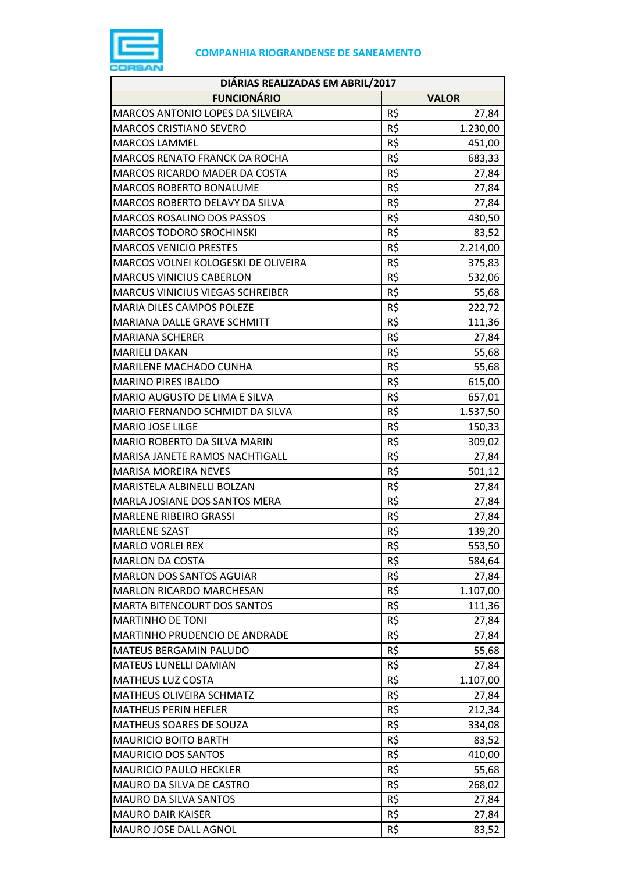

| DIÁRIAS REALIZADAS EM ABRIL/2017        |            |                |
|-----------------------------------------|------------|----------------|
| <b>FUNCIONÁRIO</b>                      |            | <b>VALOR</b>   |
| MARCOS ANTONIO LOPES DA SILVEIRA        | R\$        | 27,84          |
| <b>MARCOS CRISTIANO SEVERO</b>          | R\$        | 1.230,00       |
| <b>MARCOS LAMMEL</b>                    | R\$        | 451,00         |
| <b>MARCOS RENATO FRANCK DA ROCHA</b>    | R\$        | 683,33         |
| MARCOS RICARDO MADER DA COSTA           | R\$        | 27,84          |
| <b>MARCOS ROBERTO BONALUME</b>          | R\$        | 27,84          |
| MARCOS ROBERTO DELAVY DA SILVA          | R\$        | 27,84          |
| <b>MARCOS ROSALINO DOS PASSOS</b>       | R\$        | 430,50         |
| <b>MARCOS TODORO SROCHINSKI</b>         | R\$        | 83,52          |
| <b>MARCOS VENICIO PRESTES</b>           | R\$        | 2.214,00       |
| MARCOS VOLNEI KOLOGESKI DE OLIVEIRA     | R\$        | 375,83         |
| <b>MARCUS VINICIUS CABERLON</b>         | R\$        | 532,06         |
| <b>MARCUS VINICIUS VIEGAS SCHREIBER</b> | R\$        | 55,68          |
| <b>MARIA DILES CAMPOS POLEZE</b>        | R\$        | 222,72         |
| MARIANA DALLE GRAVE SCHMITT             | R\$        | 111,36         |
| <b>MARIANA SCHERER</b>                  | R\$        | 27,84          |
| <b>MARIELI DAKAN</b>                    | R\$        | 55,68          |
| MARILENE MACHADO CUNHA                  | R\$        | 55,68          |
| <b>MARINO PIRES IBALDO</b>              | R\$        | 615,00         |
| MARIO AUGUSTO DE LIMA E SILVA           | R\$        | 657,01         |
| MARIO FERNANDO SCHMIDT DA SILVA         | R\$        | 1.537,50       |
| <b>MARIO JOSE LILGE</b>                 | R\$        | 150,33         |
| MARIO ROBERTO DA SILVA MARIN            | R\$        | 309,02         |
| MARISA JANETE RAMOS NACHTIGALL          | R\$        | 27,84          |
| <b>MARISA MOREIRA NEVES</b>             | R\$        | 501,12         |
| MARISTELA ALBINELLI BOLZAN              | R\$        | 27,84          |
| MARLA JOSIANE DOS SANTOS MERA           | R\$        | 27,84          |
| <b>MARLENE RIBEIRO GRASSI</b>           | R\$        | 27,84          |
| <b>MARLENE SZAST</b>                    | R\$        | 139,20         |
| <b>MARLO VORLEI REX</b>                 | R\$        | 553,50         |
| <b>MARLON DA COSTA</b>                  | R\$        | 584,64         |
| <b>MARLON DOS SANTOS AGUIAR</b>         | R\$        | 27,84          |
| <b>MARLON RICARDO MARCHESAN</b>         | R\$        | 1.107,00       |
| <b>MARTA BITENCOURT DOS SANTOS</b>      | R\$        | 111,36         |
| <b>MARTINHO DE TONI</b>                 | R\$        | 27,84          |
| MARTINHO PRUDENCIO DE ANDRADE           | R\$        |                |
| <b>MATEUS BERGAMIN PALUDO</b>           | R\$        | 27,84<br>55,68 |
| MATEUS LUNELLI DAMIAN                   | R\$        | 27,84          |
| <b>MATHEUS LUZ COSTA</b>                | R\$        | 1.107,00       |
| MATHEUS OLIVEIRA SCHMATZ                | R\$        |                |
|                                         |            | 27,84          |
| <b>MATHEUS PERIN HEFLER</b>             | R\$        | 212,34         |
| MATHEUS SOARES DE SOUZA                 | R\$<br>R\$ | 334,08         |
| <b>MAURICIO BOITO BARTH</b>             |            | 83,52          |
| <b>MAURICIO DOS SANTOS</b>              | R\$        | 410,00         |
| <b>MAURICIO PAULO HECKLER</b>           | R\$        | 55,68          |
| MAURO DA SILVA DE CASTRO                | R\$        | 268,02         |
| <b>MAURO DA SILVA SANTOS</b>            | R\$        | 27,84          |
| <b>MAURO DAIR KAISER</b>                | R\$        | 27,84          |
| MAURO JOSE DALL AGNOL                   | R\$        | 83,52          |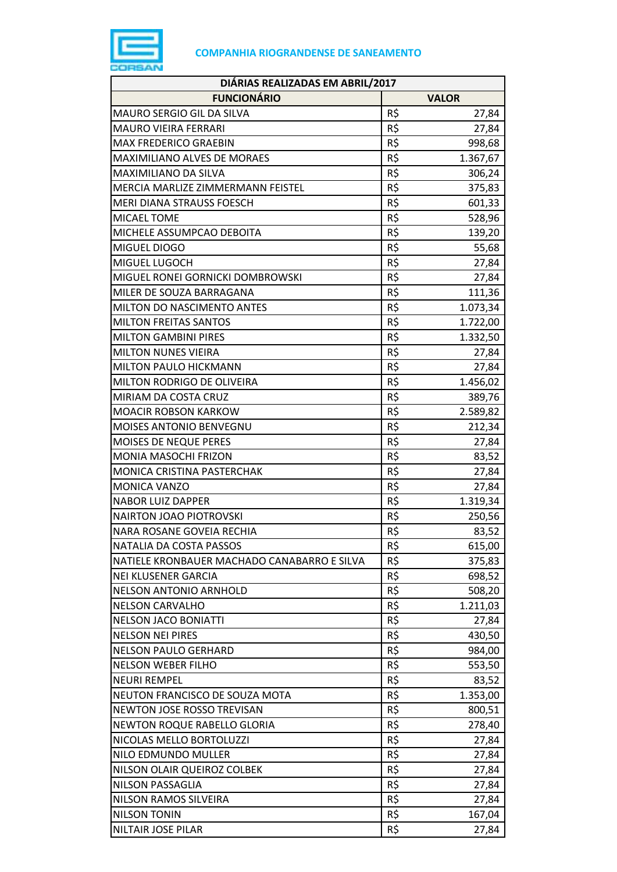

| DIÁRIAS REALIZADAS EM ABRIL/2017            |     |              |  |
|---------------------------------------------|-----|--------------|--|
| <b>FUNCIONÁRIO</b>                          |     | <b>VALOR</b> |  |
| MAURO SERGIO GIL DA SILVA                   | R\$ | 27,84        |  |
| <b>MAURO VIEIRA FERRARI</b>                 | R\$ | 27,84        |  |
| <b>MAX FREDERICO GRAEBIN</b>                | R\$ | 998,68       |  |
| MAXIMILIANO ALVES DE MORAES                 | R\$ | 1.367,67     |  |
| MAXIMILIANO DA SILVA                        | R\$ | 306,24       |  |
| MERCIA MARLIZE ZIMMERMANN FEISTEL           | R\$ | 375,83       |  |
| MERI DIANA STRAUSS FOESCH                   | R\$ | 601,33       |  |
| <b>MICAEL TOME</b>                          | R\$ | 528,96       |  |
| MICHELE ASSUMPCAO DEBOITA                   | R\$ | 139,20       |  |
| MIGUEL DIOGO                                | R\$ | 55,68        |  |
| MIGUEL LUGOCH                               | R\$ | 27,84        |  |
| MIGUEL RONEI GORNICKI DOMBROWSKI            | R\$ | 27,84        |  |
| MILER DE SOUZA BARRAGANA                    | R\$ | 111,36       |  |
| MILTON DO NASCIMENTO ANTES                  | R\$ | 1.073,34     |  |
| <b>MILTON FREITAS SANTOS</b>                | R\$ | 1.722,00     |  |
| <b>MILTON GAMBINI PIRES</b>                 | R\$ | 1.332,50     |  |
| <b>MILTON NUNES VIEIRA</b>                  | R\$ | 27,84        |  |
| MILTON PAULO HICKMANN                       | R\$ | 27,84        |  |
| MILTON RODRIGO DE OLIVEIRA                  | R\$ | 1.456,02     |  |
| MIRIAM DA COSTA CRUZ                        | R\$ | 389,76       |  |
| <b>MOACIR ROBSON KARKOW</b>                 | R\$ | 2.589,82     |  |
| MOISES ANTONIO BENVEGNU                     | R\$ | 212,34       |  |
| MOISES DE NEQUE PERES                       | R\$ | 27,84        |  |
| MONIA MASOCHI FRIZON                        | R\$ | 83,52        |  |
| MONICA CRISTINA PASTERCHAK                  | R\$ | 27,84        |  |
| MONICA VANZO                                | R\$ | 27,84        |  |
| <b>NABOR LUIZ DAPPER</b>                    | R\$ | 1.319,34     |  |
| <b>NAIRTON JOAO PIOTROVSKI</b>              | R\$ | 250,56       |  |
| NARA ROSANE GOVEIA RECHIA                   | R\$ | 83,52        |  |
| NATALIA DA COSTA PASSOS                     | R\$ | 615,00       |  |
| NATIELE KRONBAUER MACHADO CANABARRO E SILVA | R\$ | 375,83       |  |
| <b>NEI KLUSENER GARCIA</b>                  | R\$ | 698,52       |  |
| <b>NELSON ANTONIO ARNHOLD</b>               | R\$ | 508,20       |  |
| <b>NELSON CARVALHO</b>                      | R\$ | 1.211,03     |  |
| <b>NELSON JACO BONIATTI</b>                 | R\$ | 27,84        |  |
| <b>NELSON NEI PIRES</b>                     | R\$ | 430,50       |  |
| <b>NELSON PAULO GERHARD</b>                 | R\$ | 984,00       |  |
| <b>NELSON WEBER FILHO</b>                   | R\$ | 553,50       |  |
| <b>NEURI REMPEL</b>                         | R\$ | 83,52        |  |
| NEUTON FRANCISCO DE SOUZA MOTA              | R\$ | 1.353,00     |  |
| <b>NEWTON JOSE ROSSO TREVISAN</b>           | R\$ | 800,51       |  |
| NEWTON ROQUE RABELLO GLORIA                 | R\$ | 278,40       |  |
| NICOLAS MELLO BORTOLUZZI                    | R\$ | 27,84        |  |
| NILO EDMUNDO MULLER                         | R\$ | 27,84        |  |
| NILSON OLAIR QUEIROZ COLBEK                 | R\$ | 27,84        |  |
| NILSON PASSAGLIA                            | R\$ | 27,84        |  |
| NILSON RAMOS SILVEIRA                       | R\$ | 27,84        |  |
| <b>NILSON TONIN</b>                         | R\$ | 167,04       |  |
| <b>NILTAIR JOSE PILAR</b>                   | R\$ | 27,84        |  |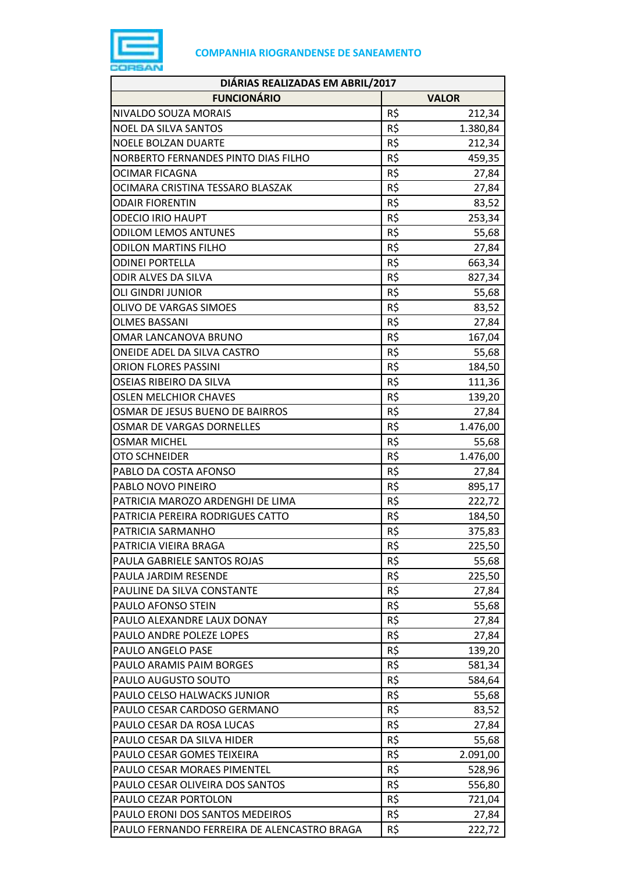

| DIÁRIAS REALIZADAS EM ABRIL/2017            |            |              |
|---------------------------------------------|------------|--------------|
| <b>FUNCIONÁRIO</b>                          |            | <b>VALOR</b> |
| NIVALDO SOUZA MORAIS                        | R\$        | 212,34       |
| <b>NOEL DA SILVA SANTOS</b>                 | R\$        | 1.380,84     |
| <b>NOELE BOLZAN DUARTE</b>                  | R\$        | 212,34       |
| NORBERTO FERNANDES PINTO DIAS FILHO         | R\$        | 459,35       |
| <b>OCIMAR FICAGNA</b>                       | R\$        | 27,84        |
| OCIMARA CRISTINA TESSARO BLASZAK            | R\$        | 27,84        |
| <b>ODAIR FIORENTIN</b>                      | R\$        | 83,52        |
| <b>ODECIO IRIO HAUPT</b>                    | R\$        | 253,34       |
| <b>ODILOM LEMOS ANTUNES</b>                 | R\$        | 55,68        |
| <b>ODILON MARTINS FILHO</b>                 | R\$        | 27,84        |
| <b>ODINEI PORTELLA</b>                      | R\$        | 663,34       |
| ODIR ALVES DA SILVA                         | R\$        | 827,34       |
| <b>OLI GINDRI JUNIOR</b>                    | R\$        | 55,68        |
| OLIVO DE VARGAS SIMOES                      | R\$        | 83,52        |
| <b>OLMES BASSANI</b>                        | R\$        | 27,84        |
| OMAR LANCANOVA BRUNO                        | R\$        | 167,04       |
| ONEIDE ADEL DA SILVA CASTRO                 | R\$        | 55,68        |
| <b>ORION FLORES PASSINI</b>                 | R\$        | 184,50       |
| OSEIAS RIBEIRO DA SILVA                     | R\$        | 111,36       |
| <b>OSLEN MELCHIOR CHAVES</b>                | R\$        | 139,20       |
| OSMAR DE JESUS BUENO DE BAIRROS             | R\$        | 27,84        |
| OSMAR DE VARGAS DORNELLES                   | R\$        | 1.476,00     |
| <b>OSMAR MICHEL</b>                         | R\$        | 55,68        |
| OTO SCHNEIDER                               | R\$        | 1.476,00     |
| PABLO DA COSTA AFONSO                       | R\$        | 27,84        |
| PABLO NOVO PINEIRO                          | R\$        | 895,17       |
| PATRICIA MAROZO ARDENGHI DE LIMA            | R\$        | 222,72       |
| PATRICIA PEREIRA RODRIGUES CATTO            | R\$        |              |
|                                             | R\$        | 184,50       |
| PATRICIA SARMANHO<br>PATRICIA VIEIRA BRAGA  |            | 375,83       |
| PAULA GABRIELE SANTOS ROJAS                 | R\$<br>R\$ | 225,50       |
|                                             |            | 55,68        |
| PAULA JARDIM RESENDE                        | R\$        | 225,50       |
| PAULINE DA SILVA CONSTANTE                  | R\$        | 27,84        |
| PAULO AFONSO STEIN                          | R\$        | 55,68        |
| PAULO ALEXANDRE LAUX DONAY                  | R\$        | 27,84        |
| PAULO ANDRE POLEZE LOPES                    | R\$        | 27,84        |
| PAULO ANGELO PASE                           | R\$        | 139,20       |
| PAULO ARAMIS PAIM BORGES                    | R\$        | 581,34       |
| PAULO AUGUSTO SOUTO                         | R\$        | 584,64       |
| PAULO CELSO HALWACKS JUNIOR                 | R\$        | 55,68        |
| PAULO CESAR CARDOSO GERMANO                 | R\$        | 83,52        |
| PAULO CESAR DA ROSA LUCAS                   | R\$        | 27,84        |
| PAULO CESAR DA SILVA HIDER                  | R\$        | 55,68        |
| PAULO CESAR GOMES TEIXEIRA                  | R\$        | 2.091,00     |
| PAULO CESAR MORAES PIMENTEL                 | R\$        | 528,96       |
| PAULO CESAR OLIVEIRA DOS SANTOS             | R\$        | 556,80       |
| PAULO CEZAR PORTOLON                        | R\$        | 721,04       |
| PAULO ERONI DOS SANTOS MEDEIROS             | R\$        | 27,84        |
| PAULO FERNANDO FERREIRA DE ALENCASTRO BRAGA | R\$        | 222,72       |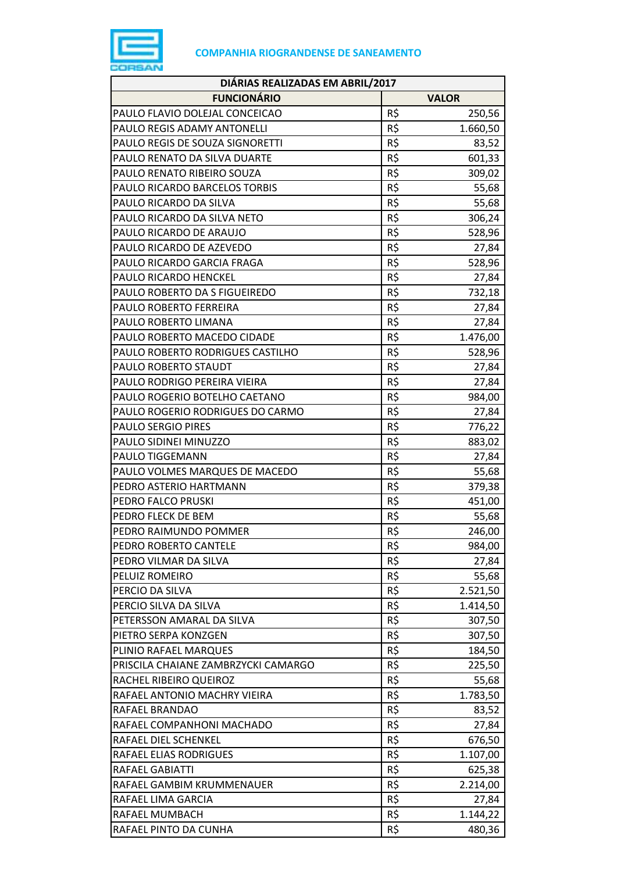

| DIÁRIAS REALIZADAS EM ABRIL/2017                   |            |              |
|----------------------------------------------------|------------|--------------|
| <b>FUNCIONÁRIO</b>                                 |            | <b>VALOR</b> |
| PAULO FLAVIO DOLEJAL CONCEICAO                     | R\$        | 250,56       |
| PAULO REGIS ADAMY ANTONELLI                        | R\$        | 1.660,50     |
| PAULO REGIS DE SOUZA SIGNORETTI                    | R\$        | 83,52        |
| PAULO RENATO DA SILVA DUARTE                       | R\$        | 601,33       |
| PAULO RENATO RIBEIRO SOUZA                         | R\$        | 309,02       |
| PAULO RICARDO BARCELOS TORBIS                      | R\$        | 55,68        |
| PAULO RICARDO DA SILVA                             | R\$        | 55,68        |
| PAULO RICARDO DA SILVA NETO                        | R\$        | 306,24       |
| PAULO RICARDO DE ARAUJO                            | R\$        | 528,96       |
| PAULO RICARDO DE AZEVEDO                           | R\$        | 27,84        |
| PAULO RICARDO GARCIA FRAGA                         | R\$        | 528,96       |
| PAULO RICARDO HENCKEL                              | R\$        | 27,84        |
| PAULO ROBERTO DA S FIGUEIREDO                      | R\$        | 732,18       |
| PAULO ROBERTO FERREIRA                             | R\$        | 27,84        |
| PAULO ROBERTO LIMANA                               | R\$        | 27,84        |
| PAULO ROBERTO MACEDO CIDADE                        | R\$        | 1.476,00     |
| PAULO ROBERTO RODRIGUES CASTILHO                   | R\$        | 528,96       |
| PAULO ROBERTO STAUDT                               | R\$        | 27,84        |
| PAULO RODRIGO PEREIRA VIEIRA                       | R\$        | 27,84        |
| PAULO ROGERIO BOTELHO CAETANO                      | R\$        | 984,00       |
| PAULO ROGERIO RODRIGUES DO CARMO                   | R\$        | 27,84        |
| <b>PAULO SERGIO PIRES</b>                          | R\$        |              |
| PAULO SIDINEI MINUZZO                              | R\$        | 776,22       |
| PAULO TIGGEMANN                                    | R\$        | 883,02       |
| PAULO VOLMES MARQUES DE MACEDO                     | R\$        | 27,84        |
| PEDRO ASTERIO HARTMANN                             | R\$        | 55,68        |
| PEDRO FALCO PRUSKI                                 | R\$        | 379,38       |
| PEDRO FLECK DE BEM                                 | R\$        | 451,00       |
|                                                    |            | 55,68        |
| PEDRO RAIMUNDO POMMER<br>PEDRO ROBERTO CANTELE     | R\$<br>R\$ | 246,00       |
|                                                    |            | 984,00       |
| PEDRO VILMAR DA SILVA<br>PELUIZ ROMEIRO            | R\$        | 27,84        |
| PERCIO DA SILVA                                    | R\$<br>R\$ | 55,68        |
|                                                    |            | 2.521,50     |
| PERCIO SILVA DA SILVA<br>PETERSSON AMARAL DA SILVA | R\$<br>R\$ | 1.414,50     |
|                                                    |            | 307,50       |
| PIETRO SERPA KONZGEN                               | R\$        | 307,50       |
| PLINIO RAFAEL MARQUES                              | R\$<br>R\$ | 184,50       |
| PRISCILA CHAIANE ZAMBRZYCKI CAMARGO                |            | 225,50       |
| RACHEL RIBEIRO QUEIROZ                             | R\$        | 55,68        |
| RAFAEL ANTONIO MACHRY VIEIRA                       | R\$        | 1.783,50     |
| RAFAEL BRANDAO                                     | R\$        | 83,52        |
| RAFAEL COMPANHONI MACHADO                          | R\$        | 27,84        |
| RAFAEL DIEL SCHENKEL                               | R\$        | 676,50       |
| RAFAEL ELIAS RODRIGUES                             | R\$        | 1.107,00     |
| RAFAEL GABIATTI                                    | R\$        | 625,38       |
| RAFAEL GAMBIM KRUMMENAUER                          | R\$        | 2.214,00     |
| RAFAEL LIMA GARCIA                                 | R\$        | 27,84        |
| RAFAEL MUMBACH                                     | R\$        | 1.144,22     |
| RAFAEL PINTO DA CUNHA                              | R\$        | 480,36       |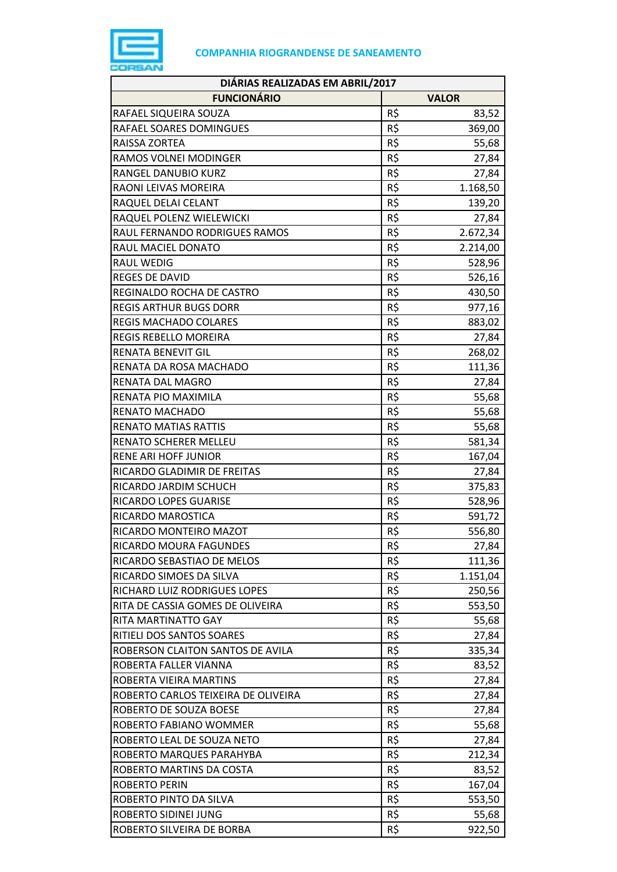

| DIÁRIAS REALIZADAS EM ABRIL/2017    |                 |              |
|-------------------------------------|-----------------|--------------|
| <b>FUNCIONÁRIO</b>                  |                 | <b>VALOR</b> |
| RAFAEL SIQUEIRA SOUZA               | R\$             | 83,52        |
| RAFAEL SOARES DOMINGUES             | R\$             | 369,00       |
| RAISSA ZORTEA                       | R\$             | 55,68        |
| RAMOS VOLNEI MODINGER               | R\$             | 27,84        |
| RANGEL DANUBIO KURZ                 | R\$             | 27,84        |
| RAONI LEIVAS MOREIRA                | R\$             | 1.168,50     |
| RAQUEL DELAI CELANT                 | R\$             | 139,20       |
| RAQUEL POLENZ WIELEWICKI            | R\$             | 27,84        |
| RAUL FERNANDO RODRIGUES RAMOS       | R\$             | 2.672,34     |
| RAUL MACIEL DONATO                  | R\$             | 2.214,00     |
| <b>RAUL WEDIG</b>                   | R\$             | 528,96       |
| <b>REGES DE DAVID</b>               | R\$             | 526,16       |
| REGINALDO ROCHA DE CASTRO           | R\$             | 430,50       |
| <b>REGIS ARTHUR BUGS DORR</b>       | R\$             | 977,16       |
| REGIS MACHADO COLARES               | R\$             | 883,02       |
| REGIS REBELLO MOREIRA               | R\$             | 27,84        |
| <b>RENATA BENEVIT GIL</b>           | R\$             | 268,02       |
| RENATA DA ROSA MACHADO              | R\$             | 111,36       |
| RENATA DAL MAGRO                    | R\$             | 27,84        |
| RENATA PIO MAXIMILA                 | R\$             | 55,68        |
| RENATO MACHADO                      | R\$             | 55,68        |
| <b>RENATO MATIAS RATTIS</b>         | R\$             | 55,68        |
| RENATO SCHERER MELLEU               | R\$             | 581,34       |
| <b>RENE ARI HOFF JUNIOR</b>         | R\$             | 167,04       |
| RICARDO GLADIMIR DE FREITAS         | R\$             | 27,84        |
| RICARDO JARDIM SCHUCH               | R\$             | 375,83       |
| RICARDO LOPES GUARISE               | R\$             | 528,96       |
| RICARDO MAROSTICA                   | R\$             | 591,72       |
| RICARDO MONTEIRO MAZOT              | R\$             | 556,80       |
| RICARDO MOURA FAGUNDES              | R\$             | 27,84        |
| RICARDO SEBASTIAO DE MELOS          | R\$             | 111,36       |
| RICARDO SIMOES DA SILVA             | R\$             | 1.151,04     |
| RICHARD LUIZ RODRIGUES LOPES        | R\$             | 250,56       |
| RITA DE CASSIA GOMES DE OLIVEIRA    | R\$             | 553,50       |
| RITA MARTINATTO GAY                 | R\$             | 55,68        |
| RITIELI DOS SANTOS SOARES           | R\$             | 27,84        |
| ROBERSON CLAITON SANTOS DE AVILA    | R\$             | 335,34       |
| ROBERTA FALLER VIANNA               | R\$             | 83,52        |
| ROBERTA VIEIRA MARTINS              | R\$             | 27,84        |
| ROBERTO CARLOS TEIXEIRA DE OLIVEIRA | R\$             | 27,84        |
| ROBERTO DE SOUZA BOESE              | R\$             | 27,84        |
| ROBERTO FABIANO WOMMER              | R\$             | 55,68        |
| ROBERTO LEAL DE SOUZA NETO          | R\$             | 27,84        |
| ROBERTO MARQUES PARAHYBA            | R\$             | 212,34       |
| ROBERTO MARTINS DA COSTA            | $R\overline{S}$ | 83,52        |
| <b>ROBERTO PERIN</b>                | R\$             | 167,04       |
| ROBERTO PINTO DA SILVA              | R\$             | 553,50       |
| ROBERTO SIDINEI JUNG                | R\$             | 55,68        |
| ROBERTO SILVEIRA DE BORBA           | R\$             | 922,50       |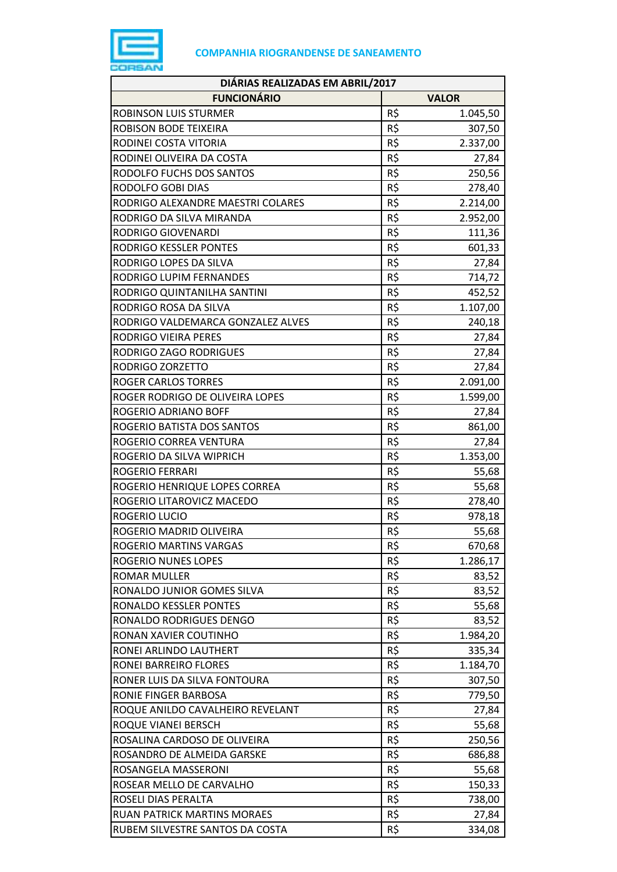

| DIÁRIAS REALIZADAS EM ABRIL/2017   |          |              |
|------------------------------------|----------|--------------|
| <b>FUNCIONÁRIO</b>                 |          | <b>VALOR</b> |
| ROBINSON LUIS STURMER              | R\$      | 1.045,50     |
| ROBISON BODE TEIXEIRA              | R\$      | 307,50       |
| RODINEI COSTA VITORIA              | R\$      | 2.337,00     |
| RODINEI OLIVEIRA DA COSTA          | R\$      | 27,84        |
| RODOLFO FUCHS DOS SANTOS           | R\$      | 250,56       |
| RODOLFO GOBI DIAS                  | R\$      | 278,40       |
| RODRIGO ALEXANDRE MAESTRI COLARES  | R\$      | 2.214,00     |
| RODRIGO DA SILVA MIRANDA           | R\$      | 2.952,00     |
| <b>RODRIGO GIOVENARDI</b>          | R\$      | 111,36       |
| RODRIGO KESSLER PONTES             | R\$      | 601,33       |
| RODRIGO LOPES DA SILVA             | R\$      | 27,84        |
| RODRIGO LUPIM FERNANDES            | R\$      | 714,72       |
| RODRIGO QUINTANILHA SANTINI        | R\$      | 452,52       |
| RODRIGO ROSA DA SILVA              | R\$      | 1.107,00     |
| RODRIGO VALDEMARCA GONZALEZ ALVES  | R\$      | 240,18       |
| RODRIGO VIEIRA PERES               | R\$      | 27,84        |
| RODRIGO ZAGO RODRIGUES             | R\$      | 27,84        |
| RODRIGO ZORZETTO                   | R\$      | 27,84        |
| <b>ROGER CARLOS TORRES</b>         | R\$      | 2.091,00     |
| ROGER RODRIGO DE OLIVEIRA LOPES    | R\$      | 1.599,00     |
| ROGERIO ADRIANO BOFF               | R\$      | 27,84        |
| ROGERIO BATISTA DOS SANTOS         | R\$      | 861,00       |
| ROGERIO CORREA VENTURA             | R\$      | 27,84        |
| ROGERIO DA SILVA WIPRICH           | R\$      | 1.353,00     |
| <b>ROGERIO FERRARI</b>             | R\$      | 55,68        |
| ROGERIO HENRIQUE LOPES CORREA      | R\$      | 55,68        |
| ROGERIO LITAROVICZ MACEDO          | R\$      | 278,40       |
| <b>ROGERIO LUCIO</b>               | $R\zeta$ | 978,18       |
| ROGERIO MADRID OLIVEIRA            | R\$      | 55,68        |
| ROGERIO MARTINS VARGAS             | R\$      | 670,68       |
| <b>ROGERIO NUNES LOPES</b>         | R\$      | 1.286,17     |
| <b>ROMAR MULLER</b>                | R\$      | 83,52        |
| RONALDO JUNIOR GOMES SILVA         | R\$      | 83,52        |
| RONALDO KESSLER PONTES             | R\$      | 55,68        |
| RONALDO RODRIGUES DENGO            | R\$      | 83,52        |
| RONAN XAVIER COUTINHO              | R\$      | 1.984,20     |
| RONEI ARLINDO LAUTHERT             | R\$      | 335,34       |
| RONEI BARREIRO FLORES              | R\$      | 1.184,70     |
| RONER LUIS DA SILVA FONTOURA       | R\$      | 307,50       |
| RONIE FINGER BARBOSA               | R\$      | 779,50       |
| ROQUE ANILDO CAVALHEIRO REVELANT   | R\$      | 27,84        |
| ROQUE VIANEI BERSCH                | R\$      | 55,68        |
| ROSALINA CARDOSO DE OLIVEIRA       | R\$      | 250,56       |
| ROSANDRO DE ALMEIDA GARSKE         | R\$      | 686,88       |
| ROSANGELA MASSERONI                | R\$      | 55,68        |
| ROSEAR MELLO DE CARVALHO           | R\$      | 150,33       |
| ROSELI DIAS PERALTA                | R\$      | 738,00       |
| <b>RUAN PATRICK MARTINS MORAES</b> | R\$      | 27,84        |
| RUBEM SILVESTRE SANTOS DA COSTA    | R\$      | 334,08       |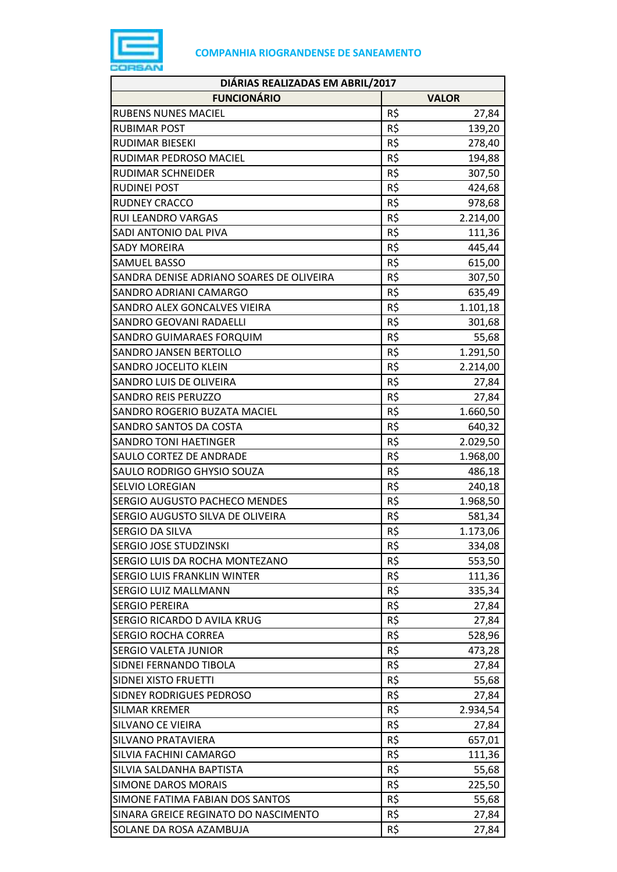

| DIÁRIAS REALIZADAS EM ABRIL/2017         |     |              |
|------------------------------------------|-----|--------------|
| <b>FUNCIONÁRIO</b>                       |     | <b>VALOR</b> |
| <b>RUBENS NUNES MACIEL</b>               | R\$ | 27,84        |
| <b>RUBIMAR POST</b>                      | R\$ | 139,20       |
| RUDIMAR BIESEKI                          | R\$ | 278,40       |
| RUDIMAR PEDROSO MACIEL                   | R\$ | 194,88       |
| <b>RUDIMAR SCHNEIDER</b>                 | R\$ | 307,50       |
| <b>RUDINEI POST</b>                      | R\$ | 424,68       |
| <b>RUDNEY CRACCO</b>                     | R\$ | 978,68       |
| RUI LEANDRO VARGAS                       | R\$ | 2.214,00     |
| SADI ANTONIO DAL PIVA                    | R\$ | 111,36       |
| <b>SADY MOREIRA</b>                      | R\$ | 445,44       |
| <b>SAMUEL BASSO</b>                      | R\$ | 615,00       |
| SANDRA DENISE ADRIANO SOARES DE OLIVEIRA | R\$ | 307,50       |
| SANDRO ADRIANI CAMARGO                   | R\$ | 635,49       |
| SANDRO ALEX GONCALVES VIEIRA             | R\$ | 1.101,18     |
| SANDRO GEOVANI RADAELLI                  | R\$ | 301,68       |
| SANDRO GUIMARAES FORQUIM                 | R\$ | 55,68        |
| SANDRO JANSEN BERTOLLO                   | R\$ | 1.291,50     |
| SANDRO JOCELITO KLEIN                    | R\$ | 2.214,00     |
| SANDRO LUIS DE OLIVEIRA                  | R\$ | 27,84        |
| <b>SANDRO REIS PERUZZO</b>               | R\$ | 27,84        |
| SANDRO ROGERIO BUZATA MACIEL             | R\$ | 1.660,50     |
| SANDRO SANTOS DA COSTA                   | R\$ | 640,32       |
| <b>SANDRO TONI HAETINGER</b>             | R\$ | 2.029,50     |
| SAULO CORTEZ DE ANDRADE                  | R\$ | 1.968,00     |
| SAULO RODRIGO GHYSIO SOUZA               | R\$ | 486,18       |
| SELVIO LOREGIAN                          | R\$ | 240,18       |
| SERGIO AUGUSTO PACHECO MENDES            | R\$ | 1.968,50     |
| SERGIO AUGUSTO SILVA DE OLIVEIRA         | R\$ | 581,34       |
| SERGIO DA SILVA                          | R\$ | 1.173,06     |
| SERGIO JOSE STUDZINSKI                   | R\$ | 334,08       |
| SERGIO LUIS DA ROCHA MONTEZANO           | R\$ | 553,50       |
| <b>SERGIO LUIS FRANKLIN WINTER</b>       | R\$ | 111,36       |
| SERGIO LUIZ MALLMANN                     | R\$ | 335,34       |
| <b>SERGIO PEREIRA</b>                    | R\$ | 27,84        |
| SERGIO RICARDO D AVILA KRUG              | R\$ | 27,84        |
| <b>SERGIO ROCHA CORREA</b>               | R\$ | 528,96       |
| <b>SERGIO VALETA JUNIOR</b>              | R\$ | 473,28       |
| SIDNEI FERNANDO TIBOLA                   | R\$ | 27,84        |
| SIDNEI XISTO FRUETTI                     | R\$ | 55,68        |
| SIDNEY RODRIGUES PEDROSO                 | R\$ | 27,84        |
| <b>SILMAR KREMER</b>                     | R\$ | 2.934,54     |
| <b>SILVANO CE VIEIRA</b>                 | R\$ | 27,84        |
| SILVANO PRATAVIERA                       | R\$ | 657,01       |
| SILVIA FACHINI CAMARGO                   | R\$ | 111,36       |
| SILVIA SALDANHA BAPTISTA                 | R\$ | 55,68        |
| <b>SIMONE DAROS MORAIS</b>               | R\$ | 225,50       |
| SIMONE FATIMA FABIAN DOS SANTOS          | R\$ | 55,68        |
| SINARA GREICE REGINATO DO NASCIMENTO     | R\$ | 27,84        |
| SOLANE DA ROSA AZAMBUJA                  | R\$ | 27,84        |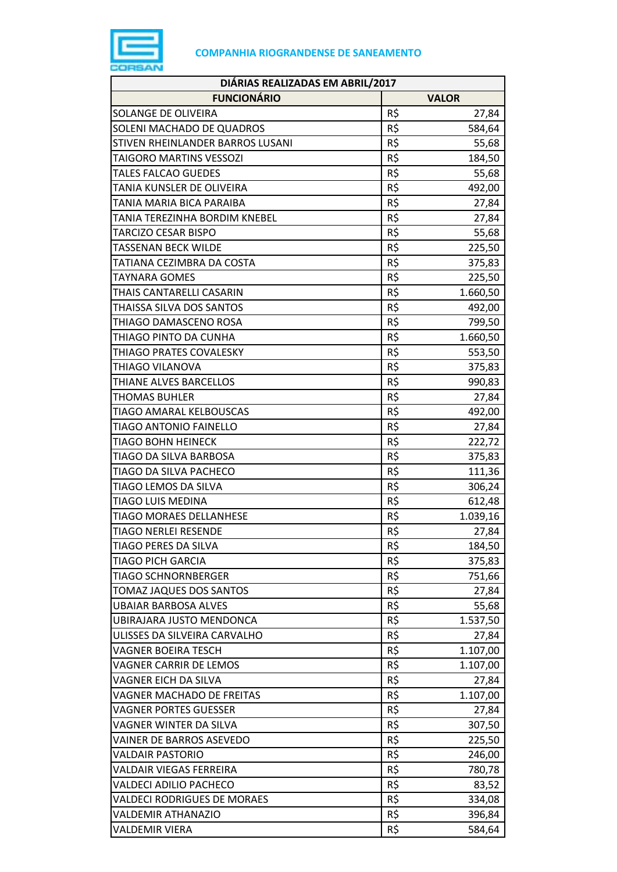

| DIÁRIAS REALIZADAS EM ABRIL/2017   |     |              |
|------------------------------------|-----|--------------|
| <b>FUNCIONÁRIO</b>                 |     | <b>VALOR</b> |
| SOLANGE DE OLIVEIRA                | R\$ | 27,84        |
| SOLENI MACHADO DE QUADROS          | R\$ | 584,64       |
| STIVEN RHEINLANDER BARROS LUSANI   | R\$ | 55,68        |
| TAIGORO MARTINS VESSOZI            | R\$ | 184,50       |
| <b>TALES FALCAO GUEDES</b>         | R\$ | 55,68        |
| TANIA KUNSLER DE OLIVEIRA          | R\$ | 492,00       |
| TANIA MARIA BICA PARAIBA           | R\$ | 27,84        |
| TANIA TEREZINHA BORDIM KNEBEL      | R\$ | 27,84        |
| TARCIZO CESAR BISPO                | R\$ | 55,68        |
| TASSENAN BECK WILDE                | R\$ | 225,50       |
| TATIANA CEZIMBRA DA COSTA          | R\$ | 375,83       |
| TAYNARA GOMES                      | R\$ | 225,50       |
| THAIS CANTARELLI CASARIN           | R\$ | 1.660,50     |
| THAISSA SILVA DOS SANTOS           | R\$ | 492,00       |
| THIAGO DAMASCENO ROSA              | R\$ | 799,50       |
| THIAGO PINTO DA CUNHA              | R\$ | 1.660,50     |
| THIAGO PRATES COVALESKY            | R\$ | 553,50       |
| THIAGO VILANOVA                    | R\$ | 375,83       |
| THIANE ALVES BARCELLOS             | R\$ | 990,83       |
| <b>THOMAS BUHLER</b>               | R\$ | 27,84        |
| TIAGO AMARAL KELBOUSCAS            | R\$ | 492,00       |
| <b>TIAGO ANTONIO FAINELLO</b>      | R\$ | 27,84        |
| <b>TIAGO BOHN HEINECK</b>          | R\$ | 222,72       |
| TIAGO DA SILVA BARBOSA             | R\$ | 375,83       |
| TIAGO DA SILVA PACHECO             | R\$ | 111,36       |
| TIAGO LEMOS DA SILVA               | R\$ | 306,24       |
| TIAGO LUIS MEDINA                  | R\$ | 612,48       |
| <b>TIAGO MORAES DELLANHESE</b>     | R\$ | 1.039,16     |
| <b>TIAGO NERLEI RESENDE</b>        | R\$ | 27,84        |
| TIAGO PERES DA SILVA               | R\$ | 184,50       |
| TIAGO PICH GARCIA                  | R\$ | 375,83       |
| <b>TIAGO SCHNORNBERGER</b>         | R\$ | 751,66       |
| TOMAZ JAQUES DOS SANTOS            | R\$ | 27,84        |
| UBAIAR BARBOSA ALVES               | R\$ | 55,68        |
| UBIRAJARA JUSTO MENDONCA           | R\$ | 1.537,50     |
| ULISSES DA SILVEIRA CARVALHO       | R\$ | 27,84        |
| VAGNER BOEIRA TESCH                | R\$ | 1.107,00     |
| VAGNER CARRIR DE LEMOS             | R\$ | 1.107,00     |
| VAGNER EICH DA SILVA               | R\$ | 27,84        |
| VAGNER MACHADO DE FREITAS          | R\$ | 1.107,00     |
| VAGNER PORTES GUESSER              | R\$ | 27,84        |
| VAGNER WINTER DA SILVA             | R\$ | 307,50       |
| VAINER DE BARROS ASEVEDO           | R\$ | 225,50       |
| VALDAIR PASTORIO                   | R\$ | 246,00       |
| VALDAIR VIEGAS FERREIRA            | R\$ | 780,78       |
| VALDECI ADILIO PACHECO             | R\$ | 83,52        |
| <b>VALDECI RODRIGUES DE MORAES</b> | R\$ | 334,08       |
| VALDEMIR ATHANAZIO                 | R\$ | 396,84       |
| VALDEMIR VIERA                     | R\$ | 584,64       |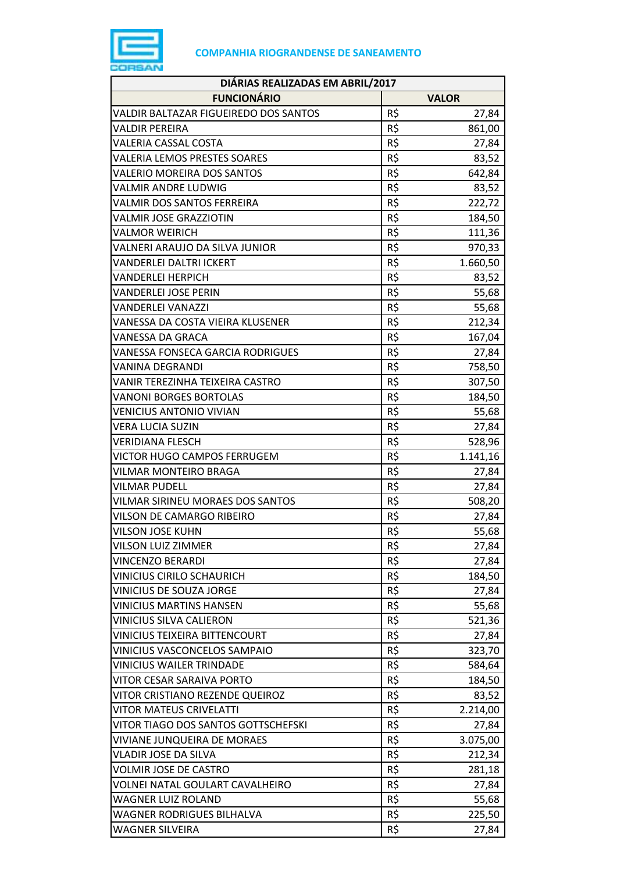

| DIÁRIAS REALIZADAS EM ABRIL/2017        |                 |              |
|-----------------------------------------|-----------------|--------------|
| <b>FUNCIONÁRIO</b>                      |                 | <b>VALOR</b> |
| VALDIR BALTAZAR FIGUEIREDO DOS SANTOS   | R\$             | 27,84        |
| VALDIR PEREIRA                          | R\$             | 861,00       |
| <b>VALERIA CASSAL COSTA</b>             | R\$             | 27,84        |
| <b>VALERIA LEMOS PRESTES SOARES</b>     | R\$             | 83,52        |
| <b>VALERIO MOREIRA DOS SANTOS</b>       | R\$             | 642,84       |
| <b>VALMIR ANDRE LUDWIG</b>              | R\$             | 83,52        |
| VALMIR DOS SANTOS FERREIRA              | R\$             | 222,72       |
| <b>VALMIR JOSE GRAZZIOTIN</b>           | R\$             | 184,50       |
| <b>VALMOR WEIRICH</b>                   | R\$             | 111,36       |
| VALNERI ARAUJO DA SILVA JUNIOR          | R\$             | 970,33       |
| <b>VANDERLEI DALTRI ICKERT</b>          | R\$             | 1.660,50     |
| <b>VANDERLEI HERPICH</b>                | R\$             | 83,52        |
| <b>VANDERLEI JOSE PERIN</b>             | R\$             | 55,68        |
| <b>VANDERLEI VANAZZI</b>                | R\$             | 55,68        |
| VANESSA DA COSTA VIEIRA KLUSENER        | R\$             | 212,34       |
| VANESSA DA GRACA                        | R\$             | 167,04       |
| VANESSA FONSECA GARCIA RODRIGUES        | R\$             | 27,84        |
| <b>VANINA DEGRANDI</b>                  | $R\overline{S}$ | 758,50       |
| VANIR TEREZINHA TEIXEIRA CASTRO         | R\$             | 307,50       |
| <b>VANONI BORGES BORTOLAS</b>           | R\$             | 184,50       |
| <b>VENICIUS ANTONIO VIVIAN</b>          | R\$             | 55,68        |
| <b>VERA LUCIA SUZIN</b>                 | R\$             | 27,84        |
| <b>VERIDIANA FLESCH</b>                 | $R\overline{S}$ | 528,96       |
| VICTOR HUGO CAMPOS FERRUGEM             | R\$             | 1.141,16     |
| <b>VILMAR MONTEIRO BRAGA</b>            | R\$             | 27,84        |
| <b>VILMAR PUDELL</b>                    | R\$             | 27,84        |
| <b>VILMAR SIRINEU MORAES DOS SANTOS</b> | R\$             | 508,20       |
| VILSON DE CAMARGO RIBEIRO               | R\$             | 27,84        |
| <b>VILSON JOSE KUHN</b>                 | R\$             | 55,68        |
| <b>VILSON LUIZ ZIMMER</b>               | R\$             | 27,84        |
| <b>VINCENZO BERARDI</b>                 | R\$             | 27,84        |
| <b>VINICIUS CIRILO SCHAURICH</b>        | R\$             | 184,50       |
| VINICIUS DE SOUZA JORGE                 | R\$             | 27,84        |
| <b>VINICIUS MARTINS HANSEN</b>          | R\$             | 55,68        |
| <b>VINICIUS SILVA CALIERON</b>          | R\$             | 521,36       |
| VINICIUS TEIXEIRA BITTENCOURT           | R\$             | 27,84        |
| VINICIUS VASCONCELOS SAMPAIO            | R\$             | 323,70       |
| <b>VINICIUS WAILER TRINDADE</b>         | R\$             | 584,64       |
| VITOR CESAR SARAIVA PORTO               | R\$             | 184,50       |
| VITOR CRISTIANO REZENDE QUEIROZ         | R\$             | 83,52        |
| <b>VITOR MATEUS CRIVELATTI</b>          | R\$             | 2.214,00     |
| VITOR TIAGO DOS SANTOS GOTTSCHEFSKI     | R\$             | 27,84        |
| VIVIANE JUNQUEIRA DE MORAES             | R\$             | 3.075,00     |
| <b>VLADIR JOSE DA SILVA</b>             | R\$             | 212,34       |
| <b>VOLMIR JOSE DE CASTRO</b>            | R\$             | 281,18       |
| VOLNEI NATAL GOULART CAVALHEIRO         | R\$             | 27,84        |
| <b>WAGNER LUIZ ROLAND</b>               | R\$             | 55,68        |
| <b>WAGNER RODRIGUES BILHALVA</b>        | R\$             | 225,50       |
| <b>WAGNER SILVEIRA</b>                  | R\$             | 27,84        |